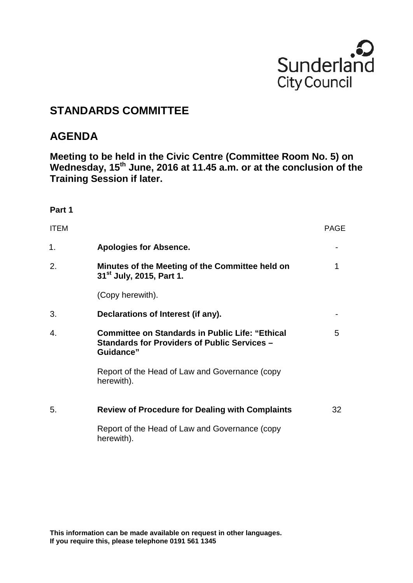

### **STANDARDS COMMITTEE**

### **AGENDA**

**Meeting to be held in the Civic Centre (Committee Room No. 5) on Wednesday, 15th June, 2016 at 11.45 a.m. or at the conclusion of the Training Session if later.**

| Part 1      |                                                                                                                                   |             |
|-------------|-----------------------------------------------------------------------------------------------------------------------------------|-------------|
| <b>ITEM</b> |                                                                                                                                   | <b>PAGE</b> |
| 1.          | <b>Apologies for Absence.</b>                                                                                                     |             |
| 2.          | Minutes of the Meeting of the Committee held on<br>31 <sup>st</sup> July, 2015, Part 1.                                           | 1           |
|             | (Copy herewith).                                                                                                                  |             |
| 3.          | Declarations of Interest (if any).                                                                                                |             |
| 4.          | <b>Committee on Standards in Public Life: "Ethical</b><br><b>Standards for Providers of Public Services -</b><br><b>Guidance"</b> | 5           |
|             | Report of the Head of Law and Governance (copy<br>herewith).                                                                      |             |
| 5.          | <b>Review of Procedure for Dealing with Complaints</b>                                                                            | 32          |
|             | Report of the Head of Law and Governance (copy<br>herewith).                                                                      |             |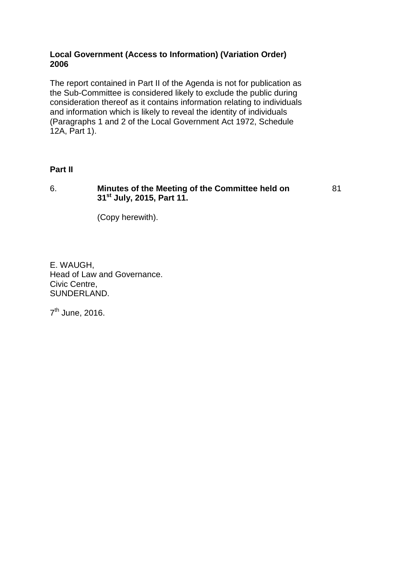#### **Local Government (Access to Information) (Variation Order) 2006**

The report contained in Part II of the Agenda is not for publication as the Sub-Committee is considered likely to exclude the public during consideration thereof as it contains information relating to individuals and information which is likely to reveal the identity of individuals (Paragraphs 1 and 2 of the Local Government Act 1972, Schedule 12A, Part 1).

#### **Part II**

#### 6. **Minutes of the Meeting of the Committee held on 31st July, 2015, Part 11.**

81

(Copy herewith).

E. WAUGH, Head of Law and Governance. Civic Centre, SUNDERLAND.

7<sup>th</sup> June, 2016.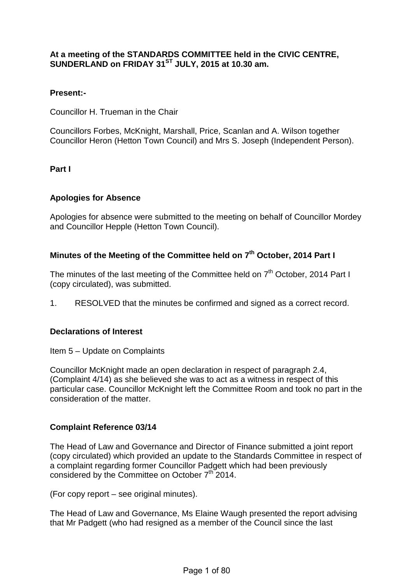#### **At a meeting of the STANDARDS COMMITTEE held in the CIVIC CENTRE, SUNDERLAND on FRIDAY 31ST JULY, 2015 at 10.30 am.**

#### **Present:-**

Councillor H. Trueman in the Chair

Councillors Forbes, McKnight, Marshall, Price, Scanlan and A. Wilson together Councillor Heron (Hetton Town Council) and Mrs S. Joseph (Independent Person).

#### **Part I**

#### **Apologies for Absence**

Apologies for absence were submitted to the meeting on behalf of Councillor Mordey and Councillor Hepple (Hetton Town Council).

### **Minutes of the Meeting of the Committee held on 7th October, 2014 Part I**

The minutes of the last meeting of the Committee held on  $7<sup>th</sup>$  October, 2014 Part I (copy circulated), was submitted.

1. RESOLVED that the minutes be confirmed and signed as a correct record.

#### **Declarations of Interest**

Item 5 – Update on Complaints

Councillor McKnight made an open declaration in respect of paragraph 2.4, (Complaint 4/14) as she believed she was to act as a witness in respect of this particular case. Councillor McKnight left the Committee Room and took no part in the consideration of the matter.

### **Complaint Reference 03/14**

The Head of Law and Governance and Director of Finance submitted a joint report (copy circulated) which provided an update to the Standards Committee in respect of a complaint regarding former Councillor Padgett which had been previously considered by the Committee on October  $7<sup>th</sup>$  2014.

(For copy report – see original minutes).

The Head of Law and Governance, Ms Elaine Waugh presented the report advising that Mr Padgett (who had resigned as a member of the Council since the last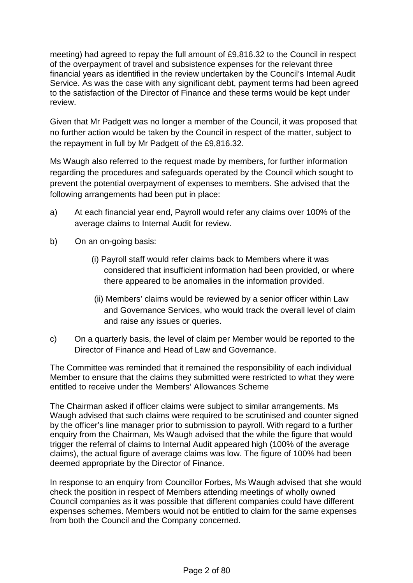meeting) had agreed to repay the full amount of £9,816.32 to the Council in respect of the overpayment of travel and subsistence expenses for the relevant three financial years as identified in the review undertaken by the Council's Internal Audit Service. As was the case with any significant debt, payment terms had been agreed to the satisfaction of the Director of Finance and these terms would be kept under review.

Given that Mr Padgett was no longer a member of the Council, it was proposed that no further action would be taken by the Council in respect of the matter, subject to the repayment in full by Mr Padgett of the £9,816.32.

Ms Waugh also referred to the request made by members, for further information regarding the procedures and safeguards operated by the Council which sought to prevent the potential overpayment of expenses to members. She advised that the following arrangements had been put in place:

- a) At each financial year end, Payroll would refer any claims over 100% of the average claims to Internal Audit for review.
- b) On an on-going basis:
	- (i) Payroll staff would refer claims back to Members where it was considered that insufficient information had been provided, or where there appeared to be anomalies in the information provided.
	- (ii) Members' claims would be reviewed by a senior officer within Law and Governance Services, who would track the overall level of claim and raise any issues or queries.
- c) On a quarterly basis, the level of claim per Member would be reported to the Director of Finance and Head of Law and Governance.

The Committee was reminded that it remained the responsibility of each individual Member to ensure that the claims they submitted were restricted to what they were entitled to receive under the Members' Allowances Scheme

The Chairman asked if officer claims were subject to similar arrangements. Ms Waugh advised that such claims were required to be scrutinised and counter signed by the officer's line manager prior to submission to payroll. With regard to a further enquiry from the Chairman, Ms Waugh advised that the while the figure that would trigger the referral of claims to Internal Audit appeared high (100% of the average claims), the actual figure of average claims was low. The figure of 100% had been deemed appropriate by the Director of Finance.

In response to an enquiry from Councillor Forbes, Ms Waugh advised that she would check the position in respect of Members attending meetings of wholly owned Council companies as it was possible that different companies could have different expenses schemes. Members would not be entitled to claim for the same expenses from both the Council and the Company concerned.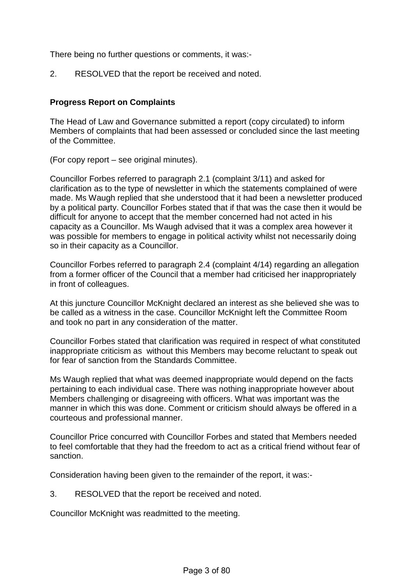There being no further questions or comments, it was:-

2. RESOLVED that the report be received and noted.

#### **Progress Report on Complaints**

The Head of Law and Governance submitted a report (copy circulated) to inform Members of complaints that had been assessed or concluded since the last meeting of the Committee.

(For copy report – see original minutes).

Councillor Forbes referred to paragraph 2.1 (complaint 3/11) and asked for clarification as to the type of newsletter in which the statements complained of were made. Ms Waugh replied that she understood that it had been a newsletter produced by a political party. Councillor Forbes stated that if that was the case then it would be difficult for anyone to accept that the member concerned had not acted in his capacity as a Councillor. Ms Waugh advised that it was a complex area however it was possible for members to engage in political activity whilst not necessarily doing so in their capacity as a Councillor.

Councillor Forbes referred to paragraph 2.4 (complaint 4/14) regarding an allegation from a former officer of the Council that a member had criticised her inappropriately in front of colleagues.

At this juncture Councillor McKnight declared an interest as she believed she was to be called as a witness in the case. Councillor McKnight left the Committee Room and took no part in any consideration of the matter.

Councillor Forbes stated that clarification was required in respect of what constituted inappropriate criticism as without this Members may become reluctant to speak out for fear of sanction from the Standards Committee.

Ms Waugh replied that what was deemed inappropriate would depend on the facts pertaining to each individual case. There was nothing inappropriate however about Members challenging or disagreeing with officers. What was important was the manner in which this was done. Comment or criticism should always be offered in a courteous and professional manner.

Councillor Price concurred with Councillor Forbes and stated that Members needed to feel comfortable that they had the freedom to act as a critical friend without fear of sanction.

Consideration having been given to the remainder of the report, it was:-

3. RESOLVED that the report be received and noted.

Councillor McKnight was readmitted to the meeting.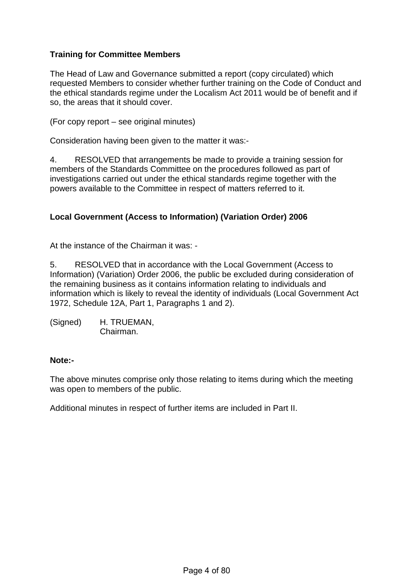### **Training for Committee Members**

The Head of Law and Governance submitted a report (copy circulated) which requested Members to consider whether further training on the Code of Conduct and the ethical standards regime under the Localism Act 2011 would be of benefit and if so, the areas that it should cover.

(For copy report – see original minutes)

Consideration having been given to the matter it was:-

4. RESOLVED that arrangements be made to provide a training session for members of the Standards Committee on the procedures followed as part of investigations carried out under the ethical standards regime together with the powers available to the Committee in respect of matters referred to it.

### **Local Government (Access to Information) (Variation Order) 2006**

At the instance of the Chairman it was: -

5. RESOLVED that in accordance with the Local Government (Access to Information) (Variation) Order 2006, the public be excluded during consideration of the remaining business as it contains information relating to individuals and information which is likely to reveal the identity of individuals (Local Government Act 1972, Schedule 12A, Part 1, Paragraphs 1 and 2).

(Signed) H. TRUEMAN, Chairman.

#### **Note:-**

The above minutes comprise only those relating to items during which the meeting was open to members of the public.

Additional minutes in respect of further items are included in Part II.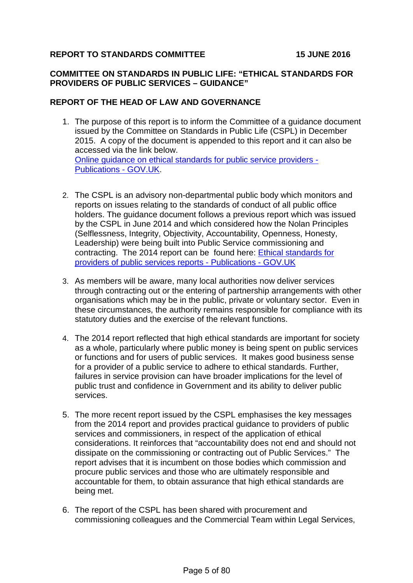#### **REPORT TO STANDARDS COMMITTEE 15 JUNE 2016**

#### **COMMITTEE ON STANDARDS IN PUBLIC LIFE: "ETHICAL STANDARDS FOR PROVIDERS OF PUBLIC SERVICES – GUIDANCE"**

#### **REPORT OF THE HEAD OF LAW AND GOVERNANCE**

- 1. The purpose of this report is to inform the Committee of a guidance document issued by the Committee on Standards in Public Life (CSPL) in December 2015. A copy of the document is appended to this report and it can also be accessed via the link below. [Online guidance on ethical standards for public service providers -](https://www.gov.uk/government/publications/online-guidance-on-ethical-standards-for-public-service-providers) [Publications -](https://www.gov.uk/government/publications/online-guidance-on-ethical-standards-for-public-service-providers) GOV.UK.
- 2. The CSPL is an advisory non-departmental public body which monitors and reports on issues relating to the standards of conduct of all public office holders. The guidance document follows a previous report which was issued by the CSPL in June 2014 and which considered how the Nolan Principles (Selflessness, Integrity, Objectivity, Accountability, Openness, Honesty, Leadership) were being built into Public Service commissioning and contracting. The 2014 report can be found here: [Ethical standards for](https://www.gov.uk/government/publications/ethical-standards-for-providers-of-public-services-reports)  [providers of public services reports -](https://www.gov.uk/government/publications/ethical-standards-for-providers-of-public-services-reports) Publications - GOV.UK
- 3. As members will be aware, many local authorities now deliver services through contracting out or the entering of partnership arrangements with other organisations which may be in the public, private or voluntary sector. Even in these circumstances, the authority remains responsible for compliance with its statutory duties and the exercise of the relevant functions.
- 4. The 2014 report reflected that high ethical standards are important for society as a whole, particularly where public money is being spent on public services or functions and for users of public services. It makes good business sense for a provider of a public service to adhere to ethical standards. Further, failures in service provision can have broader implications for the level of public trust and confidence in Government and its ability to deliver public services.
- 5. The more recent report issued by the CSPL emphasises the key messages from the 2014 report and provides practical guidance to providers of public services and commissioners, in respect of the application of ethical considerations. It reinforces that "accountability does not end and should not dissipate on the commissioning or contracting out of Public Services." The report advises that it is incumbent on those bodies which commission and procure public services and those who are ultimately responsible and accountable for them, to obtain assurance that high ethical standards are being met.
- 6. The report of the CSPL has been shared with procurement and commissioning colleagues and the Commercial Team within Legal Services,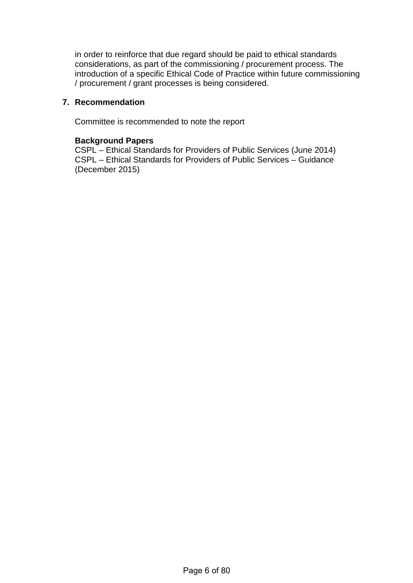in order to reinforce that due regard should be paid to ethical standards considerations, as part of the commissioning / procurement process. The introduction of a specific Ethical Code of Practice within future commissioning / procurement / grant processes is being considered.

#### **7. Recommendation**

Committee is recommended to note the report

#### **Background Papers**

CSPL – Ethical Standards for Providers of Public Services (June 2014) CSPL – Ethical Standards for Providers of Public Services – Guidance (December 2015)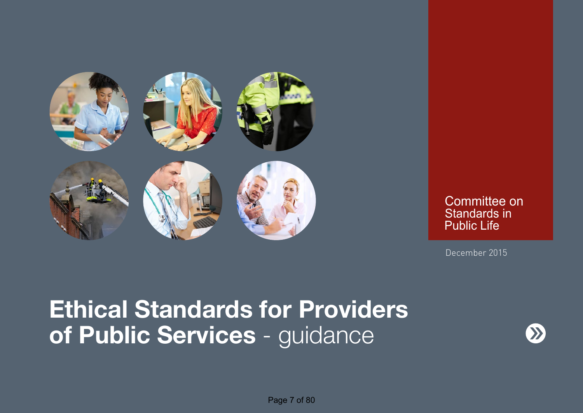

Committee on Standards in Public Life

December 2015

 $\sum$ 

## **Ethical Standards for Providers of Public Services** - guidance

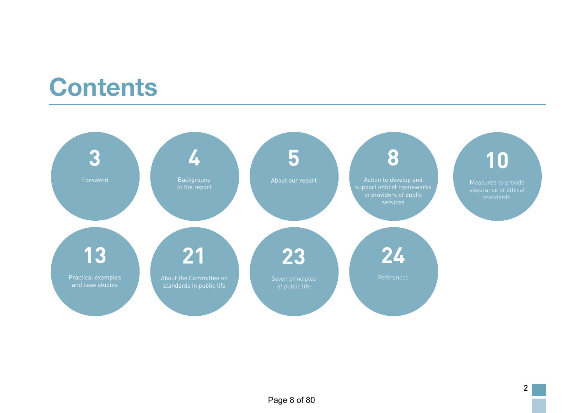## **Contents**

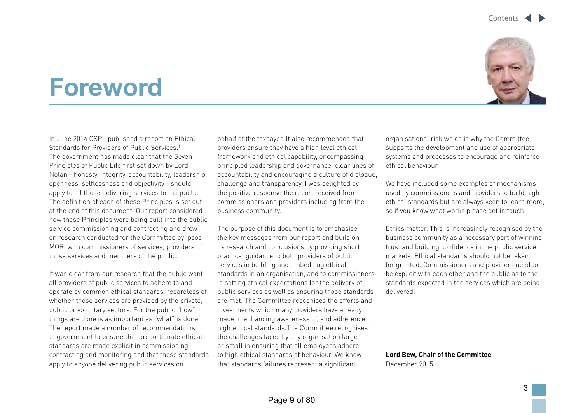## **Foreword**

In June 2014 CSPL published a report on Ethical Standards for Providers of Public Services<sup>1</sup> The government has made clear that the Seven Principles of Public Life first set down by Lord Nolan - honesty, integrity, accountability, leadership, openness, selflessness and objectivity - should apply to all those delivering services to the public. The definition of each of these Principles is set out at the end of this document. Our report considered how these Principles were being built into the public service commissioning and contracting and drew on research conducted for the Committee by Ipsos MORI with commissioners of services, providers of those services and members of the public.

It was clear from our research that the public want all providers of public services to adhere to and operate by common ethical standards, regardless of whether those services are provided by the private, public or voluntary sectors. For the public "how" things are done is as important as "what" is done. The report made a number of recommendations to government to ensure that proportionate ethical standards are made explicit in commissioning, contracting and monitoring and that these standards apply to anyone delivering public services on

behalf of the taxpayer. It also recommended that providers ensure they have a high level ethical framework and ethical capability, encompassing principled leadership and governance, clear lines of accountability and encouraging a culture of dialogue, challenge and transparency. I was delighted by the positive response the report received from commissioners and providers including from the business community.

The purpose of this document is to emphasise the key messages from our report and build on its research and conclusions by providing short practical guidance to both providers of public services in building and embedding ethical standards in an organisation, and to commissioners in setting ethical expectations for the delivery of public services as well as ensuring those standards are met. The Committee recognises the efforts and investments which many providers have already made in enhancing awareness of, and adherence to high ethical standards.The Committee recognises the challenges faced by any organisation large or small in ensuring that all employees adhere to high ethical standards of behaviour. We know that standards failures represent a significant Contents<br>
Solution they have a high level ethical<br>
they have a high level ethical<br>
they have a high level ethical<br>
the supports the development and use of approximation<br>
they have a high level ethical supports the developm

organisational risk which is why the Committee supports the development and use of appropriate systems and processes to encourage and reinforce ethical behaviour.

We have included some examples of mechanisms used by commissioners and providers to build high ethical standards but are always keen to learn more, so if you know what works please get in touch.

Ethics matter. This is increasingly recognised by the business community as a necessary part of winning trust and building confidence in the public service markets. Ethical standards should not be taken for granted. Commissioners and providers need to be explicit with each other and the public as to the standards expected in the services which are being delivered.

**Lord Bew, Chair of the Committee** December 2015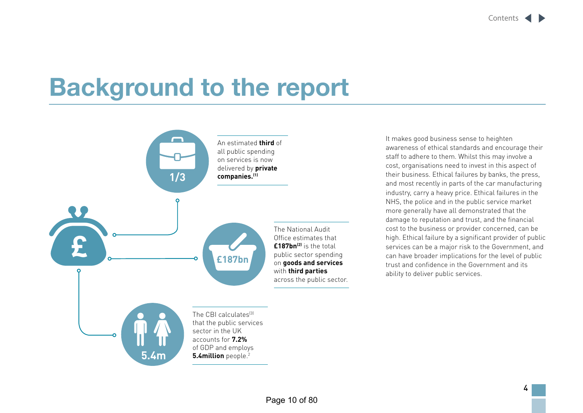## **Background to the report**



It makes good business sense to heighten awareness of ethical standards and encourage their staff to adhere to them. Whilst this may involve a cost, organisations need to invest in this aspect of their business. Ethical failures by banks, the press, and most recently in parts of the car manufacturing industry, carry a heavy price. Ethical failures in the NHS, the police and in the public service market more generally have all demonstrated that the damage to reputation and trust, and the financial cost to the business or provider concerned, can be high. Ethical failure by a significant provider of public services can be a major risk to the Government, and can have broader implications for the level of public trust and confidence in the Government and its ability to deliver public services.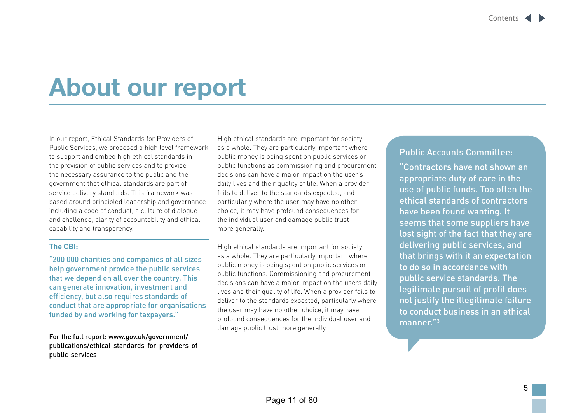## **About our report**

In our report, Ethical Standards for Providers of Public Services, we proposed a high level framework to support and embed high ethical standards in the provision of public services and to provide the necessary assurance to the public and the government that ethical standards are part of service delivery standards. This framework was based around principled leadership and governance including a code of conduct, a culture of dialogue and challenge, clarity of accountability and ethical capability and transparency.

#### **The CBI:**

"200 000 charities and companies of all sizes help government provide the public services that we depend on all over the country. This can generate innovation, investment and efficiency, but also requires standards of conduct that are appropriate for organisations funded by and working for taxpayers."

For the full report: www.gov.uk/government/ publications/ethical-standards-for-providers-ofpublic-services

High ethical standards are important for society as a whole. They are particularly important where public money is being spent on public services or public functions as commissioning and procurement decisions can have a major impact on the user's daily lives and their quality of life. When a provider fails to deliver to the standards expected, and particularly where the user may have no other choice, it may have profound consequences for the individual user and damage public trust more generally.

High ethical standards are important for society as a whole. They are particularly important where public money is being spent on public services or public functions. Commissioning and procurement decisions can have a major impact on the users daily lives and their quality of life. When a provider fails to deliver to the standards expected, particularly where the user may have no other choice, it may have profound consequences for the individual user and damage public trust more generally.

#### Public Accounts Committee:

"Contractors have not shown an appropriate duty of care in the use of public funds. Too often the ethical standards of contractors have been found wanting. It seems that some suppliers have lost sight of the fact that they are delivering public services, and that brings with it an expectation to do so in accordance with public service standards. The legitimate pursuit of profit does not justify the illegitimate failure to conduct business in an ethical manner."3 Contents<br>
Contents<br>
are particularly important three tectors<br>
as commiscioning and procurement<br>
as commiscioning and procurement<br>
as commiscioning and procurement<br>
even majerified that we have a majerified to account the s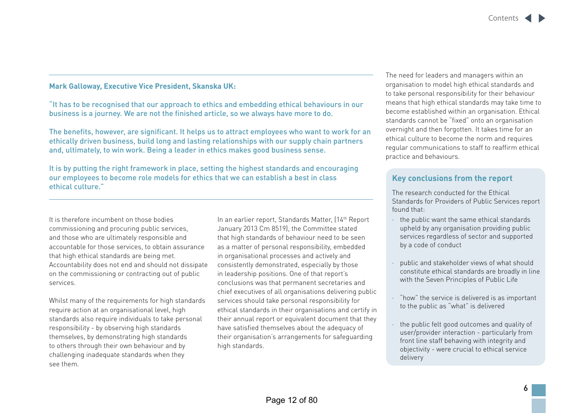#### **Mark Galloway, Executive Vice President, Skanska UK:**

"It has to be recognised that our approach to ethics and embedding ethical behaviours in our business is a journey. We are not the finished article, so we always have more to do.

The benefits, however, are significant. It helps us to attract employees who want to work for an ethically driven business, build long and lasting relationships with our supply chain partners and, ultimately, to win work. Being a leader in ethics makes good business sense.

It is by putting the right framework in place, setting the highest standards and encouraging our employees to become role models for ethics that we can establish a best in class ethical culture."

It is therefore incumbent on those bodies commissioning and procuring public services, and those who are ultimately responsible and accountable for those services, to obtain assurance that high ethical standards are being met. Accountability does not end and should not dissipate on the commissioning or contracting out of public services.

Whilst many of the requirements for high standards require action at an organisational level, high standards also require individuals to take personal responsibility - by observing high standards themselves, by demonstrating high standards to others through their own behaviour and by challenging inadequate standards when they see them.

In an earlier report, Standards Matter, (14<sup>th</sup> Report January 2013 Cm 8519), the Committee stated that high standards of behaviour need to be seen as a matter of personal responsibility, embedded in organisational processes and actively and consistently demonstrated, especially by those in leadership positions. One of that report's conclusions was that permanent secretaries and chief executives of all organisations delivering public services should take personal responsibility for ethical standards in their organisations and certify in their annual report or equivalent document that they have satisfied themselves about the adequacy of their organisation's arrangements for safeguarding high standards. Contents<br>
For need for Vooders and monagers within a<br>
ing ethical behaviours in our<br>
to take personal responsibility for their behavious systems<br>
system one to do.<br>
Notes who want to work for an ancerast that higher this t

The need for leaders and managers within an organisation to model high ethical standards and to take personal responsibility for their behaviour means that high ethical standards may take time to become established within an organisation. Ethical standards cannot be "fixed" onto an organisation overnight and then forgotten. It takes time for an ethical culture to become the norm and requires regular communications to staff to reaffirm ethical practice and behaviours.

#### **Key conclusions from the report**

The research conducted for the Ethical Standards for Providers of Public Services report found that:

- · the public want the same ethical standards upheld by any organisation providing public services regardless of sector and supported by a code of conduct
- · public and stakeholder views of what should constitute ethical standards are broadly in line with the Seven Principles of Public Life
- · "how" the service is delivered is as important to the public as "what" is delivered
- · the public felt good outcomes and quality of user/provider interaction - particularly from front line staff behaving with integrity and objectivity - were crucial to ethical service delivery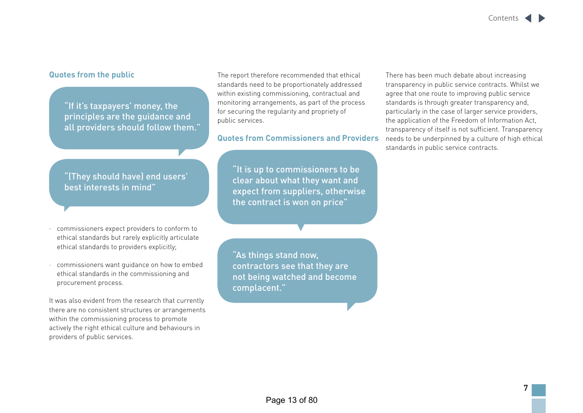#### **Quotes from the public**

"If it's taxpayers' money, the principles are the guidance and all providers should follow them."

"(They should have) end users' best interests in mind"

- · commissioners expect providers to conform to ethical standards but rarely explicitly articulate ethical standards to providers explicitly;
- · commissioners want guidance on how to embed ethical standards in the commissioning and procurement process.

It was also evident from the research that currently there are no consistent structures or arrangements within the commissioning process to promote actively the right ethical culture and behaviours in providers of public services.

The report therefore recommended that ethical standards need to be proportionately addressed within existing commissioning, contractual and monitoring arrangements, as part of the process for securing the regularity and propriety of public services.

#### **Quotes from Commissioners and Providers**

"It is up to commissioners to be clear about what they want and expect from suppliers, otherwise the contract is won on price"

"As things stand now, contractors see that they are not being watched and become complacent."

There has been much debate about increasing transparency in public service contracts. Whilst we agree that one route to improving public service standards is through greater transparency and, particularly in the case of larger service providers, the application of the Freedom of Information Act, transparency of itself is not sufficient. Transparency needs to be underpinned by a culture of high ethical standards in public service contracts. Contents<br>
More recommended that chiral Unere has been much debate about increasia<br>
to be proportionally addressed transported in any parameter instance in<br>
temperature and the process and area that the result increases tha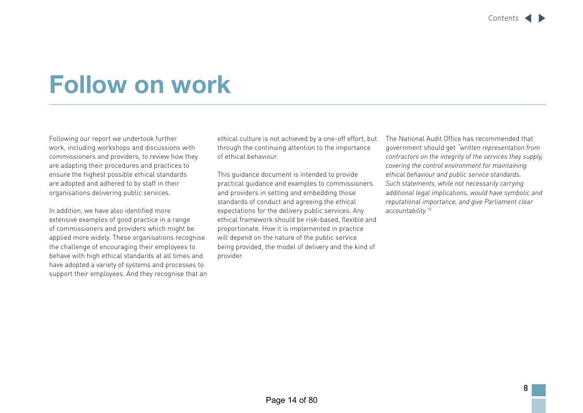# **Follow on work**

Following our report we undertook further work, including workshops and discussions with commissioners and providers, to review how they are adapting their procedures and practices to ensure the highest possible ethical standards are adopted and adhered to by staff in their organisations delivering public services.

In addition, we have also identified more extensive examples of good practice in a range of commissioners and providers which might be applied more widely. These organisations recognise the challenge of encouraging their employees to behave with high ethical standards at all times and have adopted a variety of systems and processes to support their employees. And they recognise that an ethical culture is not achieved by a one-off effort, but through the continuing attention to the importance of ethical behaviour.

This guidance document is intended to provide practical guidance and examples to commissioners and providers in setting and embedding those standards of conduct and agreeing the ethical expectations for the delivery public services. Any ethical framework should be risk-based, flexible and proportionate. How it is implemented in practice will depend on the nature of the public service being provided, the model of delivery and the kind of provider.

The National Audit Office has recommended that government should get *"written representation from contractors on the integrity of the services they supply, covering the control environment for maintaining ethical behaviour and public service standards. Such statements, while not necessarily carrying additional legal implications, would have symbolic and reputational importance, and give Parliament clear accountability."4* Contents<br>
Contents<br>
and scheed by a anc-off cflort, but<br>
The National Audit Office has recommended<br>
intuing attention to the importance<br>
coveragine to content aforesize the<br>
coveragine to content converament is intended to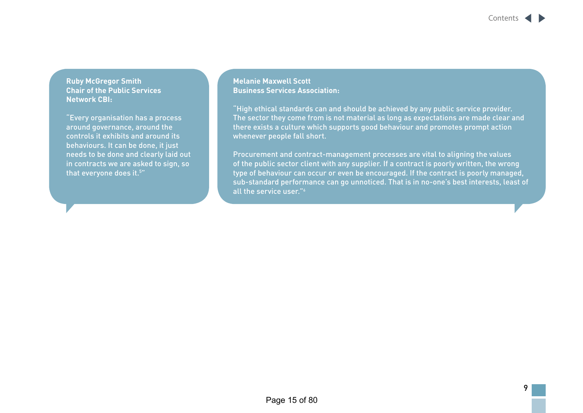**Ruby McGregor Smith Chair of the Public Services Network CBI:**

"Every organisation has a process around governance, around the controls it exhibits and around its behaviours. It can be done, it just needs to be done and clearly laid out in contracts we are asked to sign, so that everyone does it.5 "

**Melanie Maxwell Scott Business Services Association:**

"High ethical standards can and should be achieved by any public service provider. The sector they come from is not material as long as expectations are made clear and there exists a culture which supports good behaviour and promotes prompt action whenever people fall short.

Procurement and contract-management processes are vital to aligning the values of the public sector client with any supplier. If a contract is poorly written, the wrong type of behaviour can occur or even be encouraged. If the contract is poorly managed, sub-standard performance can go unnoticed. That is in no-one's best interests, least of all the service user."<sup>6</sup> Contents<br>
Services Association:<br>
Services Association:<br>
ical standards can and should be achieved by any public service provider.<br>
It hey come from is not material as long as expectations are made clear are<br>
repelle fall s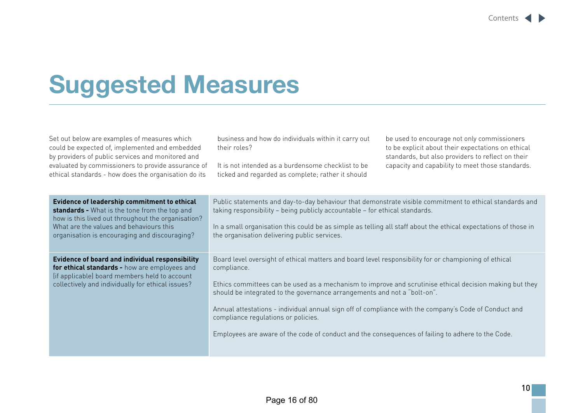# **Suggested Measures**

|                                                                                                                                                                                                                                                                   |                                                                                                                                                                                                                                                                                                                                                                                                                                                                                                                                                                  | Contents                                                                                                                                                                                                   |
|-------------------------------------------------------------------------------------------------------------------------------------------------------------------------------------------------------------------------------------------------------------------|------------------------------------------------------------------------------------------------------------------------------------------------------------------------------------------------------------------------------------------------------------------------------------------------------------------------------------------------------------------------------------------------------------------------------------------------------------------------------------------------------------------------------------------------------------------|------------------------------------------------------------------------------------------------------------------------------------------------------------------------------------------------------------|
| <b>Suggested Measures</b>                                                                                                                                                                                                                                         |                                                                                                                                                                                                                                                                                                                                                                                                                                                                                                                                                                  |                                                                                                                                                                                                            |
| Set out below are examples of measures which<br>could be expected of, implemented and embedded<br>by providers of public services and monitored and<br>evaluated by commissioners to provide assurance of<br>ethical standards - how does the organisation do its | business and how do individuals within it carry out<br>their roles?<br>It is not intended as a burdensome checklist to be<br>ticked and regarded as complete; rather it should                                                                                                                                                                                                                                                                                                                                                                                   | be used to encourage not only commissioners<br>to be explicit about their expectations on ethical<br>standards, but also providers to reflect on their<br>capacity and capability to meet those standards. |
| Evidence of leadership commitment to ethical<br>standards - What is the tone from the top and<br>how is this lived out throughout the organisation?<br>What are the values and behaviours this<br>organisation is encouraging and discouraging?                   | Public statements and day-to-day behaviour that demonstrate visible commitment to ethical standards and<br>taking responsibility - being publicly accountable - for ethical standards.<br>In a small organisation this could be as simple as telling all staff about the ethical expectations of those in<br>the organisation delivering public services.                                                                                                                                                                                                        |                                                                                                                                                                                                            |
| Evidence of board and individual responsibility<br>for ethical standards - how are employees and<br>(if applicable) board members held to account<br>collectively and individually for ethical issues?                                                            | Board level oversight of ethical matters and board level responsibility for or championing of ethical<br>compliance.<br>Ethics committees can be used as a mechanism to improve and scrutinise ethical decision making but they<br>should be integrated to the governance arrangements and not a "bolt-on".<br>Annual attestations - individual annual sign off of compliance with the company's Code of Conduct and<br>compliance regulations or policies.<br>Employees are aware of the code of conduct and the consequences of failing to adhere to the Code. |                                                                                                                                                                                                            |
|                                                                                                                                                                                                                                                                   | Page 16 of 80                                                                                                                                                                                                                                                                                                                                                                                                                                                                                                                                                    | 10 <sup>°</sup>                                                                                                                                                                                            |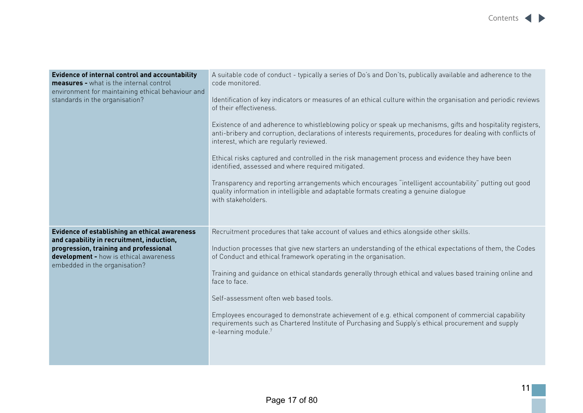|                                                                                                                                                                                                                 | Contents                                                                                                                                                                                                                                                                                                                                                                                                                                                                                                                                                                                                                                                                                                                                                                                                                                                                                                                                      |  |  |  |
|-----------------------------------------------------------------------------------------------------------------------------------------------------------------------------------------------------------------|-----------------------------------------------------------------------------------------------------------------------------------------------------------------------------------------------------------------------------------------------------------------------------------------------------------------------------------------------------------------------------------------------------------------------------------------------------------------------------------------------------------------------------------------------------------------------------------------------------------------------------------------------------------------------------------------------------------------------------------------------------------------------------------------------------------------------------------------------------------------------------------------------------------------------------------------------|--|--|--|
|                                                                                                                                                                                                                 |                                                                                                                                                                                                                                                                                                                                                                                                                                                                                                                                                                                                                                                                                                                                                                                                                                                                                                                                               |  |  |  |
|                                                                                                                                                                                                                 |                                                                                                                                                                                                                                                                                                                                                                                                                                                                                                                                                                                                                                                                                                                                                                                                                                                                                                                                               |  |  |  |
| Evidence of internal control and accountability<br>measures - what is the internal control<br>environment for maintaining ethical behaviour and<br>standards in the organisation?                               | A suitable code of conduct - typically a series of Do's and Don'ts, publically available and adherence to the<br>code monitored.<br>Identification of key indicators or measures of an ethical culture within the organisation and periodic reviews<br>of their effectiveness.<br>Existence of and adherence to whistleblowing policy or speak up mechanisms, gifts and hospitality registers,<br>anti-bribery and corruption, declarations of interests requirements, procedures for dealing with conflicts of<br>interest, which are regularly reviewed.<br>Ethical risks captured and controlled in the risk management process and evidence they have been<br>identified, assessed and where required mitigated.<br>Transparency and reporting arrangements which encourages "intelligent accountability" putting out good<br>quality information in intelligible and adaptable formats creating a genuine dialogue<br>with stakeholders. |  |  |  |
| Evidence of establishing an ethical awareness<br>and capability in recruitment, induction,<br>progression, training and professional<br>development - how is ethical awareness<br>embedded in the organisation? | Recruitment procedures that take account of values and ethics alongside other skills.<br>Induction processes that give new starters an understanding of the ethical expectations of them, the Codes<br>of Conduct and ethical framework operating in the organisation.<br>Training and guidance on ethical standards generally through ethical and values based training online and<br>face to face.<br>Self-assessment often web based tools.<br>Employees encouraged to demonstrate achievement of e.g. ethical component of commercial capability<br>requirements such as Chartered Institute of Purchasing and Supply's ethical procurement and supply<br>e-learning module.7                                                                                                                                                                                                                                                             |  |  |  |
| 11                                                                                                                                                                                                              |                                                                                                                                                                                                                                                                                                                                                                                                                                                                                                                                                                                                                                                                                                                                                                                                                                                                                                                                               |  |  |  |
|                                                                                                                                                                                                                 | Page 17 of 80                                                                                                                                                                                                                                                                                                                                                                                                                                                                                                                                                                                                                                                                                                                                                                                                                                                                                                                                 |  |  |  |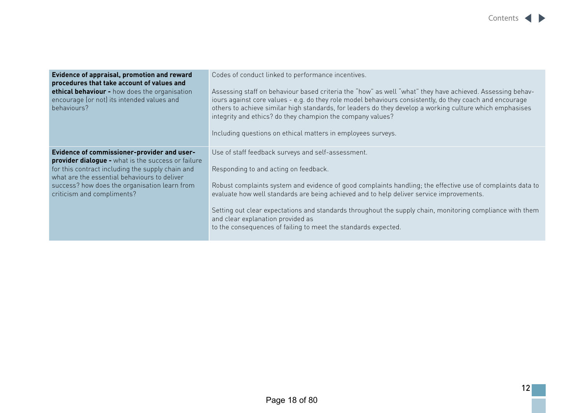|                                                                                                                                                                                                                                                                                      | Contents                                                                                                                                                                                                                                                                                                                                                                                                                                                                                                                  |
|--------------------------------------------------------------------------------------------------------------------------------------------------------------------------------------------------------------------------------------------------------------------------------------|---------------------------------------------------------------------------------------------------------------------------------------------------------------------------------------------------------------------------------------------------------------------------------------------------------------------------------------------------------------------------------------------------------------------------------------------------------------------------------------------------------------------------|
|                                                                                                                                                                                                                                                                                      |                                                                                                                                                                                                                                                                                                                                                                                                                                                                                                                           |
| Evidence of appraisal, promotion and reward<br>procedures that take account of values and<br>ethical behaviour - how does the organisation<br>encourage (or not) its intended values and<br>behaviours?                                                                              | Codes of conduct linked to performance incentives.<br>Assessing staff on behaviour based criteria the "how" as well "what" they have achieved. Assessing behav-<br>iours against core values - e.g. do they role model behaviours consistently, do they coach and encourage<br>others to achieve similar high standards, for leaders do they develop a working culture which emphasises<br>integrity and ethics? do they champion the company values?<br>Including questions on ethical matters in employees surveys.     |
| Evidence of commissioner-provider and user-<br>provider dialogue - what is the success or failure<br>for this contract including the supply chain and<br>what are the essential behaviours to deliver<br>success? how does the organisation learn from<br>criticism and compliments? | Use of staff feedback surveys and self-assessment.<br>Responding to and acting on feedback.<br>Robust complaints system and evidence of good complaints handling; the effective use of complaints data to<br>evaluate how well standards are being achieved and to help deliver service improvements.<br>Setting out clear expectations and standards throughout the supply chain, monitoring compliance with them<br>and clear explanation provided as<br>to the consequences of failing to meet the standards expected. |
|                                                                                                                                                                                                                                                                                      |                                                                                                                                                                                                                                                                                                                                                                                                                                                                                                                           |
|                                                                                                                                                                                                                                                                                      | 12<br>Page 18 of 80                                                                                                                                                                                                                                                                                                                                                                                                                                                                                                       |
|                                                                                                                                                                                                                                                                                      |                                                                                                                                                                                                                                                                                                                                                                                                                                                                                                                           |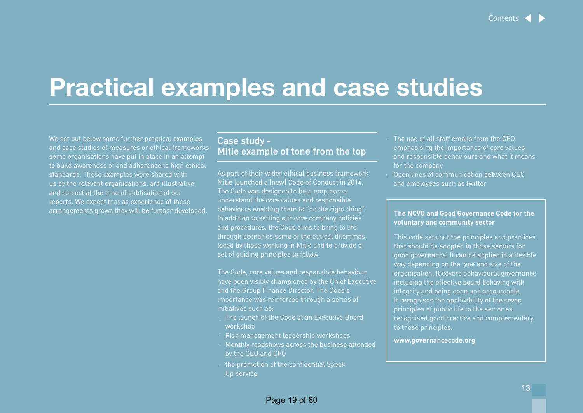## **Practical examples and case studies**

We set out below some further practical examples and case studies of measures or ethical frameworks some organisations have put in place in an attempt to build awareness of and adherence to high ethical standards. These examples were shared with us by the relevant organisations, are illustrative and correct at the time of publication of our reports. We expect that as experience of these arrangements grows they will be further developed. behaviours enabling them to do the right thing<sup>"</sup>. **The NCVO and Good Governance Code for the** 

### Case study - Mitie example of tone from the top

As part of their wider ethical business framework Mitie launched a [new] Code of Conduct in 2014. The Code was designed to help employees behaviours enabling them to "do the right thing". In addition to setting our core company policies and procedures, the Code aims to bring to life through scenarios some of the ethical dilemmas faced by those working in Mitie and to provide a set of guiding principles to follow.

The Code, core values and responsible behaviour have been visibly championed by the Chief Executive and the Group Finance Director. The Code's importance was reinforced through a series of initiatives such as:

- · The launch of the Code at an Executive Board workshop
- · Risk management leadership workshops
- · Monthly roadshows across the business attended by the CEO and CFO
- · the promotion of the confidential Speak Up service
- The use of all staff emails from the CEO emphasising the importance of core values for the company
- · Open lines of communication between CEO and employees such as twitter

### **voluntary and community sector**

This code sets out the principles and practices that should be adopted in those sectors for good governance. It can be applied in a flexible way depending on the type and size of the organisation. It covers behavioural governance including the effective board behaving with integrity and being open and accountable. It recognises the applicability of the seven principles of public life to the sector as recognised good practice and complementary to those principles. Contents<br>
Contents<br>
Person of the company<br>
Page 19 of 80<br>
Page 19 of 80<br>
Page 19 of 80<br>
Page 19 of 80<br>
Page 19 of 80<br>
Page 19 of 80<br>
Page 19 of 80<br>
Page 19 of 80<br>
Page 19 of 80<br>
Page 19 of 80<br>
Page 19 of 80<br>
Page 19 of 80<br>

**www.governancecode.org**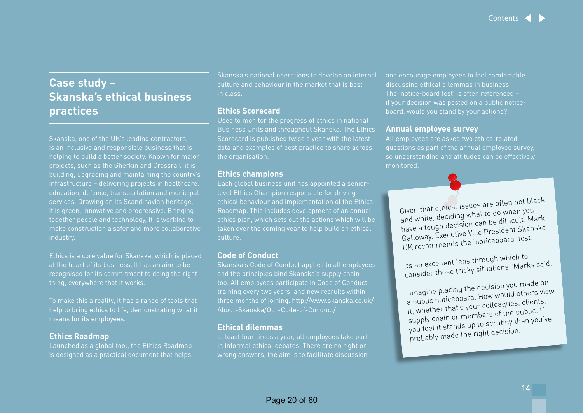### **Case study – Skanska's ethical business practices**

Skanska, one of the UK's leading contractors, is an inclusive and responsible business that is helping to build a better society. Known for major projects, such as the Gherkin and Crossrail, it is building, upgrading and maintaining the country's infrastructure – delivering projects in healthcare, education, defence, transportation and municipal services. Drawing on its Scandinavian heritage, it is green, innovative and progressive. Bringing together people and technology, it is working to make construction a safer and more collaborative industry.

Ethics is a core value for Skanska, which is placed at the heart of its business. It has an aim to be recognised for its commitment to doing the right thing, everywhere that it works.

To make this a reality, it has a range of tools that help to bring ethics to life, demonstrating what it means for its employees.

#### **Ethics Roadmap**

Launched as a global tool, the Ethics Roadmap is designed as a practical document that helps

Skanska's national operations to develop an internal culture and behaviour in the market that is best in class.

#### **Ethics Scorecard**

Used to monitor the progress of ethics in national Business Units and throughout Skanska. The Ethics Scorecard is published twice a year with the latest the organisation.

#### **Ethics champions**

Each global business unit has appointed a seniorlevel Ethics Champion responsible for driving ethical behaviour and implementation of the Ethics Roadmap. This includes development of an annual ethics plan, which sets out the actions which will be taken over the coming year to help build an ethical culture. Contents<br>
School of the matrice of the stress of the stress of the stress of the stress of the stress of the stress of the stress of the stress of the stress of the stress of the stress of the stress of the stress of the s

#### **Code of Conduct**

Skanska's Code of Conduct applies to all employees and the principles bind Skanska's supply chain too. All employees participate in Code of Conduct training every two years, and new recruits within three months of joining. http://www.skanska.co.uk/ About-Skanska/Our-Code-of-Conduct/

#### **Ethical dilemmas**

at least four times a year, all employees take part in informal ethical debates. There are no right or wrong answers, the aim is to facilitate discussion and encourage employees to feel comfortable discussing ethical dilemmas in business. The 'notice-board test' is often referenced – if your decision was posted on a public noticeboard, would you stand by your actions?

#### **Annual employee survey**

All employees are asked two ethics-related questions as part of the annual employee survey, so understanding and attitudes can be effectively monitored.

Given that ethical issues are often not black and white, deciding what to do when you have a tough decision can be difficult. Mark Galloway, Executive Vice President Skanska UK recommends the 'noticeboard' test.

Its an excellent lens through which to consider those tricky situations,"Marks said.

"Imagine placing the decision you made on a public noticeboard. How would others view it, whether that's your colleagues, clients, supply chain or members of the public. If you feel it stands up to scrutiny then you've probably made the right decision.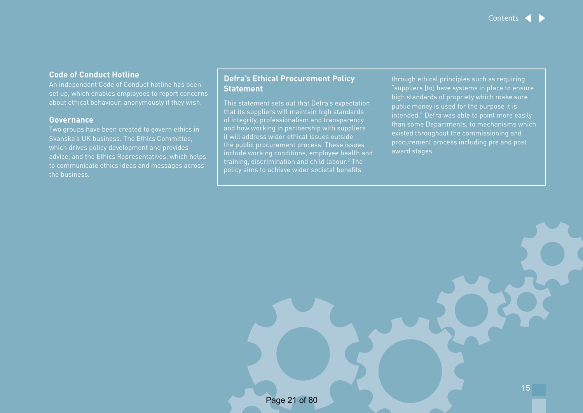#### **Code of Conduct Hotline**

An independent Code of Conduct hotline has been set up, which enables employees to report concerns about ethical behaviour, anonymously if they wish.

#### **Governance**

Two groups have been created to govern ethics in Skanska's UK business. The Ethics Committee, which drives policy development and provides advice, and the Ethics Representatives, which helps to communicate ethics ideas and messages across the business.

#### **Defra's Ethical Procurement Policy Statement**

This statement sets out that Defra's expectation that its suppliers will maintain high standards of integrity, professionalism and transparency and how working in partnership with suppliers it will address wider ethical issues outside the public procurement process. These issues include working conditions, employee health and training, discrimination and child labour.8 The policy aims to achieve wider societal benefits

through ethical principles such as requiring "suppliers [to] have systems in place to ensure high standards of propriety which make sure public money is used for the purpose it is intended." Defra was able to point more easily than some Departments, to mechanisms which existed throughout the commissioning and procurement process including pre and post award stages. Contents<br>
Contents<br>
Contents<br>
Contents<br>
Contents<br>
Contents<br>
Contents<br>
Contents<br>
Contents<br>
Contents<br>
Contents<br>
Contents<br>
Contents<br>
Contents<br>
Contents<br>
Contents<br>
Contents<br>
Contents<br>
Contents<br>
Contents<br>
Contents<br>
Contents<br>
Co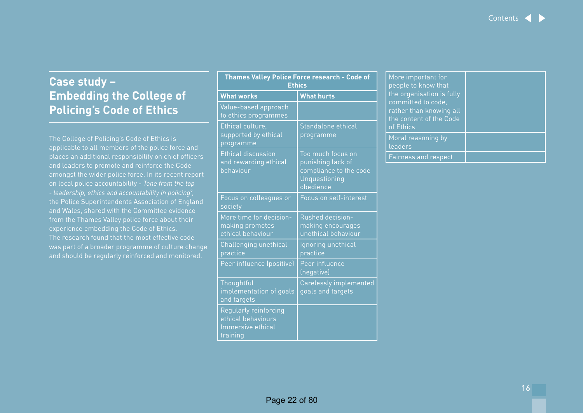### **Case study – Embedding the College of Policing's Code of Ethics**

applicable to all members of the police force and places an additional responsibility on chief officers and leaders to promote and reinforce the Code amongst the wider police force. In its recent report on local police accountability - *Tone from the top - leadership, ethics and accountability in policing9 ,* the Police Superintendents Association of England and Wales, shared with the Committee evidence from the Thames Valley police force about their experience embedding the Code of Ethics. The research found that the most effective code was part of a broader programme of culture change and should be regularly reinforced and monitored.

|                                                                              |                                                                                   |                                                                          | Contents |
|------------------------------------------------------------------------------|-----------------------------------------------------------------------------------|--------------------------------------------------------------------------|----------|
|                                                                              |                                                                                   |                                                                          |          |
|                                                                              |                                                                                   |                                                                          |          |
|                                                                              | Thames Valley Police Force research - Code of<br><b>Ethics</b>                    | More important for<br>people to know that                                |          |
| <b>What works</b>                                                            | <b>What hurts</b>                                                                 | the organisation is fully                                                |          |
| Value-based approach<br>to ethics programmes                                 |                                                                                   | committed to code,<br>rather than knowing all<br>the content of the Code |          |
| Ethical culture,<br>supported by ethical<br>programme                        | Standalone ethical<br>programme                                                   | of Ethics<br>Moral reasoning by                                          |          |
| <b>Ethical discussion</b><br>and rewarding ethical<br>behaviour              | Too much focus on<br>punishing lack of<br>compliance to the code<br>Unquestioning | leaders<br>Fairness and respect                                          |          |
| Focus on colleagues or<br>society                                            | obedience<br>Focus on self-interest                                               |                                                                          |          |
| More time for decision-<br>making promotes<br>ethical behaviour              | Rushed decision-<br>making encourages<br>unethical behaviour                      |                                                                          |          |
| Challenging unethical<br>practice                                            | Ignoring unethical<br>practice                                                    |                                                                          |          |
| Peer influence (positive)                                                    | Peer influence<br>(negative)                                                      |                                                                          |          |
| Thoughtful<br>implementation of goals<br>and targets                         | Carelessly implemented<br>goals and targets                                       |                                                                          |          |
| Regularly reinforcing<br>ethical behaviours<br>Immersive ethical<br>training |                                                                                   |                                                                          |          |
|                                                                              |                                                                                   |                                                                          |          |
| Page 22 of 80                                                                |                                                                                   |                                                                          |          |

| More important for<br>people to know that<br>the organisation is fully<br>committed to code,<br>rather than knowing all<br>the content of the Code<br>of Ethics |  |
|-----------------------------------------------------------------------------------------------------------------------------------------------------------------|--|
| Moral reasoning by<br>leaders                                                                                                                                   |  |
| Fairness and respect                                                                                                                                            |  |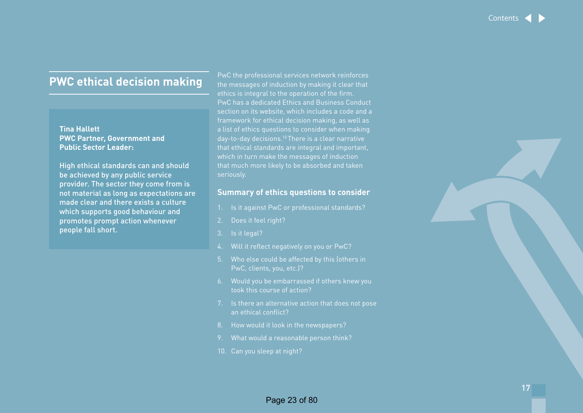**Tina Hallett PWC Partner, Government and Public Sector Leader:**

High ethical standards can and should be achieved by any public service provider. The sector they come from is not material as long as expectations are made clear and there exists a culture which supports good behaviour and promotes prompt action whenever people fall short.

**PWC ethical decision making** PwC the professional services network reinforces the messages of induction by making it clear that ethics is integral to the operation of the firm. PwC has a dedicated Ethics and Business Conduct section on its website, which includes a code and a a list of ethics questions to consider when making which in turn make the messages of induction that much more likely to be absorbed and taken

#### **Summary of ethics questions to consider**

- 1. Is it against PwC or professional standards?
- 2. Does it feel right?
- 3. Is it legal?
- 4. Will it reflect negatively on you or PwC?
- 5. Who else could be affected by this (others in
- 6. Would you be embarrassed if others knew you took this course of action?
- 7. Is there an alternative action that does not pose an ethical conflict?
- 8. How would it look in the newspapers?
- 
- 

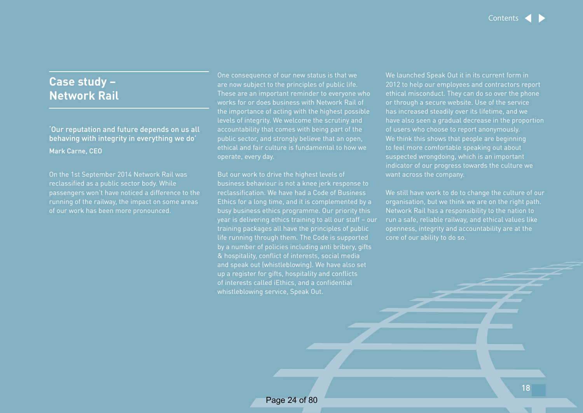### **Case study – Network Rail**

'Our reputation and future depends on us all behaving with integrity in everything we do' Mark Carne, CEO

On the 1st September 2014 Network Rail was reclassified as a public sector body. While passengers won't have noticed a difference to the running of the railway, the impact on some areas of our work has been more pronounced.

One consequence of our new status is that we are now subject to the principles of public life. These are an important reminder to everyone who works for or does business with Network Rail of the importance of acting with the highest possible levels of integrity. We welcome the scrutiny and accountability that comes with being part of the public sector, and strongly believe that an open, ethical and fair culture is fundamental to how we operate, every day.

But our work to drive the highest levels of business behaviour is not a knee jerk response to reclassification. We have had a Code of Business busy business ethics programme. Our priority this year is delivering ethics training to all our staff – our training packages all have the principles of public life running through them. The Code is supported and speak out (whistleblowing). We have also set up a register for gifts, hospitality and conflicts of interests called iEthics, and a confidential whistleblowing service, Speak Out.

We launched Speak Out it in its current form in 2012 to help our employees and contractors report ethical misconduct. They can do so over the phone or through a secure website. Use of the service has increased steadily over its lifetime, and we of users who choose to report anonymously. We think this shows that people are beginning to feel more comfortable speaking out about suspected wrongdoing, which is an important indicator of our progress towards the culture we Contents<br>
Contents<br>
Contents<br>
Contents<br>
Contents<br>
Contents<br>
Contents<br>
Contents<br>
Contents<br>
Contents<br>
Contents<br>
Contents<br>
Contents<br>
Contents<br>
Contents<br>
Contents<br>
Contents<br>
Contents<br>
Contents<br>
Contents<br>
Contents<br>
Contents<br>
Co

We still have work to do to change the culture of our organisation, but we think we are on the right path. Network Rail has a responsibility to the nation to run a safe, reliable railway, and ethical values like openness, integrity and accountability are at the core of our ability to do so.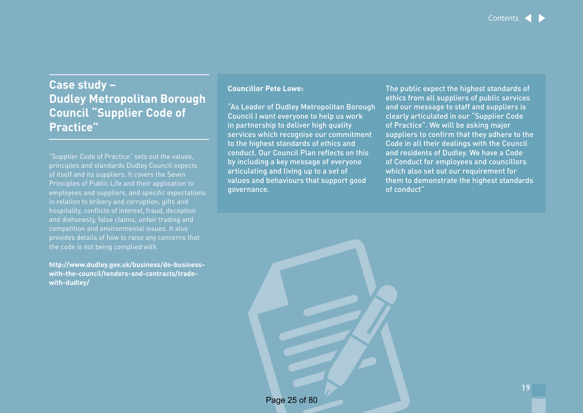### **Case study – Dudley Metropolitan Borough Council "Supplier Code of Practice"**

"Supplier Code of Practice" sets out the values, principles and standards Dudley Council expects of itself and its suppliers. It covers the Seven Principles of Public Life and their application to employees and suppliers, and specific expectations in relation to bribery and corruption, gifts and hospitality, conflicts of interest, fraud, deception and dishonesty, false claims, unfair trading and competition and environmental issues. It also provides details of how to raise any concerns that

**http://www.dudley.gov.uk/business/do-businesswith-the-council/tenders-and-contracts/tradewith-dudley/**

#### **Councillor Pete Lowe:**

"As Leader of Dudley Metropolitan Borough Council I want everyone to help us work in partnership to deliver high quality services which recognise our commitment to the highest standards of ethics and conduct. Our Council Plan reflects on this by including a key message of everyone articulating and living up to a set of values and behaviours that support good governance.

The public expect the highest standards of ethics from all suppliers of public services and our message to staff and suppliers is clearly articulated in our "Supplier Code of Practice". We will be asking major suppliers to confirm that they adhere to the Code in all their dealings with the Council and residents of Dudley. We have a Code of Conduct for employees and councillors which also set out our requirement for them to demonstrate the highest standards of conduct" Contents<br>
Contents<br>
The public sepect the highest standard<br>
of Dudley Metropolitan Borough<br>
ethisc from all suppliers of public services<br>
of and suppliers to content the suppliers to content that they added<br>
in the decircu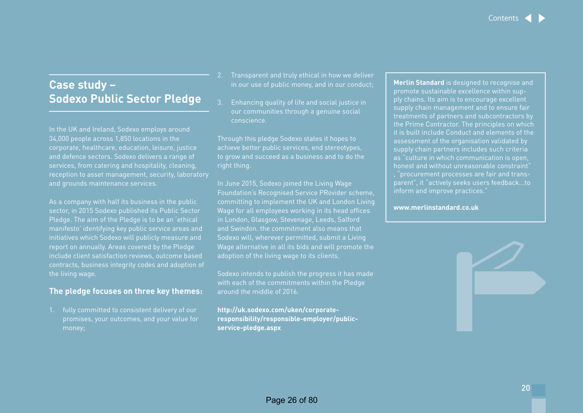### **Case study – Sodexo Public Sector Pledge**

In the UK and Ireland, Sodexo employs around 34,000 people across 1,850 locations in the corporate, healthcare, education, leisure, justice and defence sectors. Sodexo delivers a range of services, from catering and hospitality, cleaning, reception to asset management, security, laboratory and grounds maintenance services.

As a company with half its business in the public sector, in 2015 Sodexo published its Public Sector Pledge. The aim of the Pledge is to be an 'ethical manifesto' identifying key public service areas and initiatives which Sodexo will publicly measure and report on annually. Areas covered by the Pledge include client satisfaction reviews, outcome based contracts, business integrity codes and adoption of the living wage.

#### **The pledge focuses on three key themes:**

1. fully committed to consistent delivery of our promises, your outcomes, and your value for

- 2. Transparent and truly ethical in how we deliver in our use of public money, and in our conduct;
- Enhancing quality of life and social justice in our communities through a genuine social conscience.

Through this pledge Sodexo states it hopes to achieve better public services, end stereotypes, to grow and succeed as a business and to do the right thing.

In June 2015, Sodexo joined the Living Wage Foundation's Recognised Service PRovider scheme, committing to implement the UK and London Living Wage for all employees working in its head offices in London, Glasgow, Stevenage, Leeds, Salford and Swindon. the commitment also means that Sodexo will, wherever permitted, submit a Living Wage alternative in all its bids and will promote the adoption of the living wage to its clients.

Sodexo intends to publish the progress it has made with each of the commitments within the Pledge around the middle of 2016.

**http://uk.sodexo.com/uken/corporateresponsibility/responsible-employer/publicservice-pledge.aspx**

**Merlin Standard** is designed to recognise and promote sustainable excellence within supply chains. Its aim is to encourage excellent supply chain management and to ensure fair treatments of partners and subcontractors by the Prime Contractor. The principles on which it is built include Conduct and elements of the assessment of the organisation validated by supply chain partners includes such criteria as "culture in which communication is open, honest and without unreasonable constraint" , "procurement processes are fair and transparent", it "actively seeks users feedback...to inform and improve practices." Contents<br>
Contents<br>
Contents<br>
The public money, and in our conduct;<br>
promote sixted in Standard is designed to recognise<br>
page to the and social justice in<br>
the strong of a group of the anti-<br>
the Prime Contractor The prin

**www.merlinstandard.co.uk** 

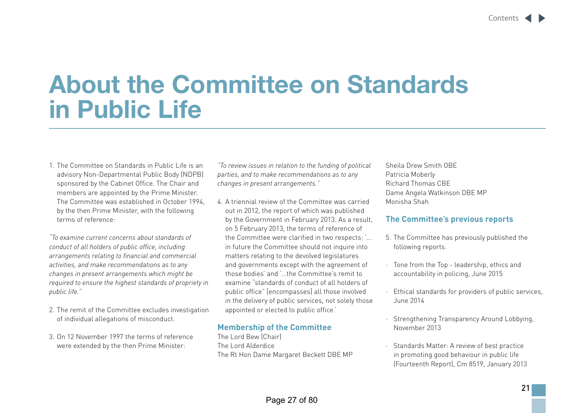## **About the Committee on Standards in Public Life**

1. The Committee on Standards in Public Life is an advisory Non-Departmental Public Body (NDPB) sponsored by the Cabinet Office. The Chair and members are appointed by the Prime Minister. The Committee was established in October 1994, by the then Prime Minister, with the following terms of reference:

*"To examine current concerns about standards of conduct of all holders of public office, including arrangements relating to financial and commercial activities, and make recommendations as to any changes in present arrangements which might be required to ensure the highest standards of propriety in public life."*

- 2. The remit of the Committee excludes investigation of individual allegations of misconduct.
- 3. On 12 November 1997 the terms of reference were extended by the then Prime Minister:

*"To review issues in relation to the funding of political parties, and to make recommendations as to any changes in present arrangements."*

4. A triennial review of the Committee was carried out in 2012, the report of which was published by the Government in February 2013. As a result, on 5 February 2013, the terms of reference of the Committee were clarified in two respects: '... in future the Committee should not inquire into matters relating to the devolved legislatures and governments except with the agreement of those bodies' and '...the Committee's remit to examine "standards of conduct of all holders of public office" [encompasses] all those involved in the delivery of public services, not solely those appointed or elected to public office.' Contents<br>
Contents<br>
Contents<br>
In recision to the bunding of political<br>
Scheme Technology of Bureau Scheme Scheme Scheme Scheme Scheme Scheme Scheme Scheme Scheme Scheme Scheme Scheme Scheme Scheme Scheme Scheme Scheme Sche

#### **Membership of the Committee**

The Lord Bew (Chair) The Lord Alderdice The Rt Hon Dame Margaret Beckett DBE MP Sheila Drew Smith OBE Patricia Moberly Richard Thomas CBE Dame Angela Watkinson DBE MP Monisha Shah

#### **The Committee's previous reports**

- 5. The Committee has previously published the following reports.
- · Tone from the Top leadership, ethics and accountability in policing, June 2015
- Ethical standards for providers of public services, June 2014
- Strengthening Transparency Around Lobbying, November 2013
- Standards Matter: A review of best practice in promoting good behaviour in public life (Fourteenth Report), Cm 8519, January 2013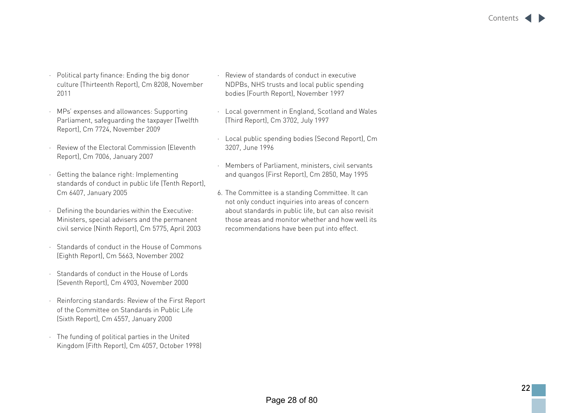- · Political party finance: Ending the big donor culture (Thirteenth Report), Cm 8208, November 2011
- · MPs' expenses and allowances: Supporting Parliament, safeguarding the taxpayer (Twelfth Report), Cm 7724, November 2009
- · Review of the Electoral Commission (Eleventh Report), Cm 7006, January 2007
- · Getting the balance right: Implementing standards of conduct in public life (Tenth Report), Cm 6407, January 2005
- · Defining the boundaries within the Executive: Ministers, special advisers and the permanent civil service (Ninth Report), Cm 5775, April 2003
- · Standards of conduct in the House of Commons (Eighth Report), Cm 5663, November 2002
- · Standards of conduct in the House of Lords (Seventh Report), Cm 4903, November 2000
- · Reinforcing standards: Review of the First Report of the Committee on Standards in Public Life (Sixth Report), Cm 4557, January 2000
- · The funding of political parties in the United Kingdom (Fifth Report), Cm 4057, October 1998)
- · Review of standards of conduct in executive NDPBs, NHS trusts and local public spending bodies (Fourth Report), November 1997
- · Local government in England, Scotland and Wales (Third Report), Cm 3702, July 1997
- · Local public spending bodies (Second Report), Cm 3207, June 1996
- Members of Parliament, ministers, civil servants and quangos (First Report), Cm 2850, May 1995
- 6. The Committee is a standing Committee. It can not only conduct inquiries into areas of concern about standards in public life, but can also revisit those areas and monitor whether and how well its recommendations have been put into effect. Contents<br>Truste and local public spending<br>Truste and local public spending<br>Report I, November 1997<br>ment in England, Scotland and Wales<br>Popening bodies [Second Report]. Cm<br>Performal product Second Report I. Cm<br>The Second Re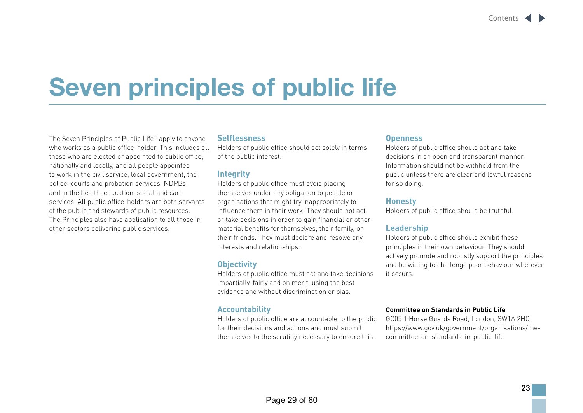## **Seven principles of public life**

The Seven Principles of Public Life<sup>11</sup> apply to anyone who works as a public office-holder. This includes all those who are elected or appointed to public office, nationally and locally, and all people appointed to work in the civil service, local government, the police, courts and probation services, NDPBs, and in the health, education, social and care services. All public office-holders are both servants of the public and stewards of public resources. The Principles also have application to all those in other sectors delivering public services.

#### **Selflessness**

Holders of public office should act solely in terms of the public interest.

#### **Integrity**

Holders of public office must avoid placing themselves under any obligation to people or organisations that might try inappropriately to influence them in their work. They should not act or take decisions in order to gain financial or other material benefits for themselves, their family, or their friends. They must declare and resolve any interests and relationships. Contents<br>
Contents<br>
Contents<br>
Contents<br>
Contents<br>
Comparison<br>
Comparison of the should act solely in terms<br>
declares in a open and temperate manner of the<br>
Information should on the starbed from the<br>
Information should on

#### **Objectivity**

Holders of public office must act and take decisions impartially, fairly and on merit, using the best evidence and without discrimination or bias.

#### **Accountability**

Holders of public office are accountable to the public for their decisions and actions and must submit themselves to the scrutiny necessary to ensure this.

#### **Openness**

Holders of public office should act and take decisions in an open and transparent manner. Information should not be withheld from the public unless there are clear and lawful reasons for so doing.

#### **Honesty**

Holders of public office should be truthful.

#### **Leadership**

Holders of public office should exhibit these principles in their own behaviour. They should actively promote and robustly support the principles and be willing to challenge poor behaviour wherever it occurs.

#### **Committee on Standards in Public Life**

GC05 1 Horse Guards Road, London, SW1A 2HQ https://www.gov.uk/government/organisations/thecommittee-on-standards-in-public-life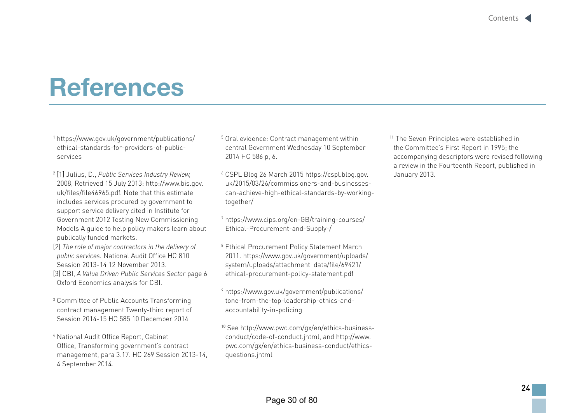## **References**

- 1 https://www.gov.uk/government/publications/ ethical-standards-for-providers-of-publicservices
- 2 [1] Julius, D., *Public Services Industry Review,* 2008, Retrieved 15 July 2013: http://www.bis.gov. uk/files/file46965.pdf. Note that this estimate includes services procured by government to support service delivery cited in Institute for Government 2012 Testing New Commissioning Models A guide to help policy makers learn about publically funded markets.
- [2] *The role of major contractors in the delivery of public services.* National Audit Office HC 810 Session 2013-14 12 November 2013.
- [3] CBI, *A Value Driven Public Services Sector* page 6 Oxford Economics analysis for CBI.
- 3 Committee of Public Accounts Transforming contract management Twenty-third report of Session 2014-15 HC 585 10 December 2014
- 4 National Audit Office Report, Cabinet Office, Transforming government's contract management, para 3.17. HC 269 Session 2013-14, 4 September 2014.
- 5 Oral evidence: Contract management within central Government Wednesday 10 September 2014 HC 586 p, 6.
- 6 CSPL Blog 26 March 2015 https://cspl.blog.gov. uk/2015/03/26/commissioners-and-businessescan-achieve-high-ethical-standards-by-workingtogether/
- 7 https://www.cips.org/en-GB/training-courses/ Ethical-Procurement-and-Supply-/
- 8 Ethical Procurement Policy Statement March 2011. https://www.gov.uk/government/uploads/ system/uploads/attachment\_data/file/69421/ ethical-procurement-policy-statement.pdf
- 9 https://www.gov.uk/government/publications/ tone-from-the-top-leadership-ethics-andaccountability-in-policing
- 10 See http://www.pwc.com/gx/en/ethics-businessconduct/code-of-conduct.jhtml, and http://www. pwc.com/gx/en/ethics-business-conduct/ethicsquestions.jhtml
- <sup>11</sup> The Seven Principles were established in the Committee's First Report in 1995; the accompanying descriptors were revised following a review in the Fourteenth Report, published in January 2013. Contract management within<br>
Page 30 of 80<br>
Page 30 of 80<br>
Page 30 of 80<br>
Page 30 of 80<br>
Page 30 of 80<br>
Page 30 of 80<br>
Page 30 of 80<br>
Page 30 of 80<br>
Page 30 of 80<br>
Page 30 of 80<br>
Page 30 of 80<br>
Page 30 of 80<br>
Page 30 of 80<br>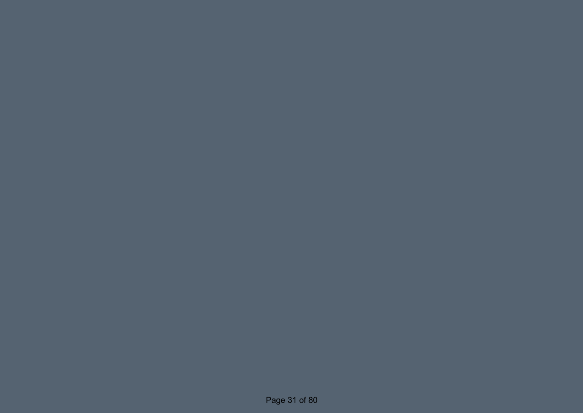Page 31 of 80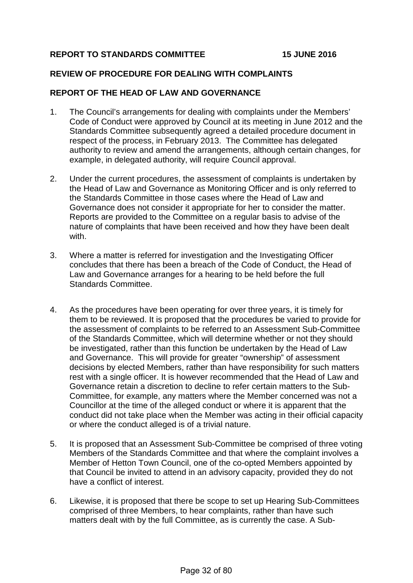#### **REPORT TO STANDARDS COMMITTEE 15 JUNE 2016**

#### **REVIEW OF PROCEDURE FOR DEALING WITH COMPLAINTS**

#### **REPORT OF THE HEAD OF LAW AND GOVERNANCE**

- 1. The Council's arrangements for dealing with complaints under the Members' Code of Conduct were approved by Council at its meeting in June 2012 and the Standards Committee subsequently agreed a detailed procedure document in respect of the process, in February 2013. The Committee has delegated authority to review and amend the arrangements, although certain changes, for example, in delegated authority, will require Council approval.
- 2. Under the current procedures, the assessment of complaints is undertaken by the Head of Law and Governance as Monitoring Officer and is only referred to the Standards Committee in those cases where the Head of Law and Governance does not consider it appropriate for her to consider the matter. Reports are provided to the Committee on a regular basis to advise of the nature of complaints that have been received and how they have been dealt with.
- 3. Where a matter is referred for investigation and the Investigating Officer concludes that there has been a breach of the Code of Conduct, the Head of Law and Governance arranges for a hearing to be held before the full Standards Committee.
- 4. As the procedures have been operating for over three years, it is timely for them to be reviewed. It is proposed that the procedures be varied to provide for the assessment of complaints to be referred to an Assessment Sub-Committee of the Standards Committee, which will determine whether or not they should be investigated, rather than this function be undertaken by the Head of Law and Governance. This will provide for greater "ownership" of assessment decisions by elected Members, rather than have responsibility for such matters rest with a single officer. It is however recommended that the Head of Law and Governance retain a discretion to decline to refer certain matters to the Sub-Committee, for example, any matters where the Member concerned was not a Councillor at the time of the alleged conduct or where it is apparent that the conduct did not take place when the Member was acting in their official capacity or where the conduct alleged is of a trivial nature.
- 5. It is proposed that an Assessment Sub-Committee be comprised of three voting Members of the Standards Committee and that where the complaint involves a Member of Hetton Town Council, one of the co-opted Members appointed by that Council be invited to attend in an advisory capacity, provided they do not have a conflict of interest.
- 6. Likewise, it is proposed that there be scope to set up Hearing Sub-Committees comprised of three Members, to hear complaints, rather than have such matters dealt with by the full Committee, as is currently the case. A Sub-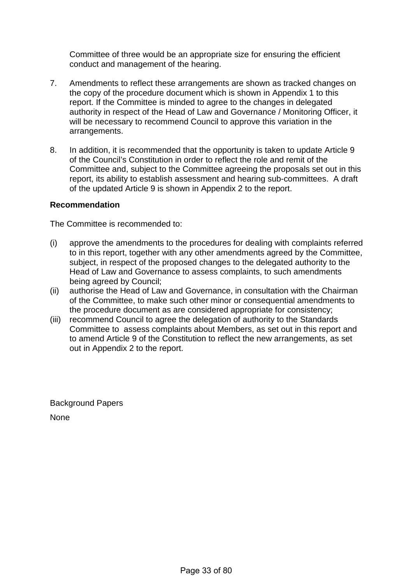Committee of three would be an appropriate size for ensuring the efficient conduct and management of the hearing.

- 7. Amendments to reflect these arrangements are shown as tracked changes on the copy of the procedure document which is shown in Appendix 1 to this report. If the Committee is minded to agree to the changes in delegated authority in respect of the Head of Law and Governance / Monitoring Officer, it will be necessary to recommend Council to approve this variation in the arrangements.
- 8. In addition, it is recommended that the opportunity is taken to update Article 9 of the Council's Constitution in order to reflect the role and remit of the Committee and, subject to the Committee agreeing the proposals set out in this report, its ability to establish assessment and hearing sub-committees. A draft of the updated Article 9 is shown in Appendix 2 to the report.

#### **Recommendation**

The Committee is recommended to:

- (i) approve the amendments to the procedures for dealing with complaints referred to in this report, together with any other amendments agreed by the Committee, subject, in respect of the proposed changes to the delegated authority to the Head of Law and Governance to assess complaints, to such amendments being agreed by Council;
- (ii) authorise the Head of Law and Governance, in consultation with the Chairman of the Committee, to make such other minor or consequential amendments to the procedure document as are considered appropriate for consistency;
- (iii) recommend Council to agree the delegation of authority to the Standards Committee to assess complaints about Members, as set out in this report and to amend Article 9 of the Constitution to reflect the new arrangements, as set out in Appendix 2 to the report.

Background Papers

None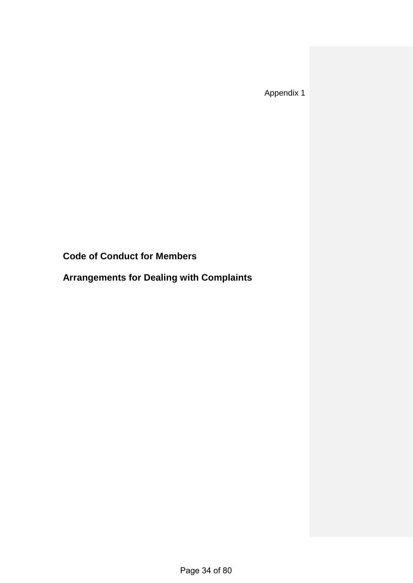Appendix 1

**Code of Conduct for Members**

**Arrangements for Dealing with Complaints**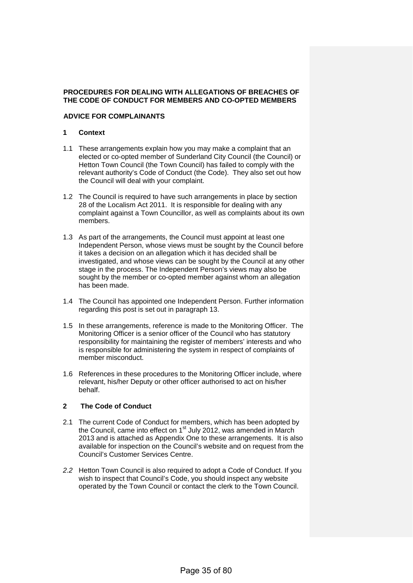# **PROCEDURES FOR DEALING WITH ALLEGATIONS OF BREACHES OF THE CODE OF CONDUCT FOR MEMBERS AND CO-OPTED MEMBERS**

### **ADVICE FOR COMPLAINANTS**

# **1 Context**

- 1.1 These arrangements explain how you may make a complaint that an elected or co-opted member of Sunderland City Council (the Council) or Hetton Town Council (the Town Council) has failed to comply with the relevant authority's Code of Conduct (the Code). They also set out how the Council will deal with your complaint.
- 1.2 The Council is required to have such arrangements in place by section 28 of the Localism Act 2011. It is responsible for dealing with any complaint against a Town Councillor, as well as complaints about its own members.
- 1.3 As part of the arrangements, the Council must appoint at least one Independent Person, whose views must be sought by the Council before it takes a decision on an allegation which it has decided shall be investigated, and whose views can be sought by the Council at any other stage in the process. The Independent Person's views may also be sought by the member or co-opted member against whom an allegation has been made.
- 1.4 The Council has appointed one Independent Person. Further information regarding this post is set out in paragraph 13.
- 1.5 In these arrangements, reference is made to the Monitoring Officer. The Monitoring Officer is a senior officer of the Council who has statutory responsibility for maintaining the register of members' interests and who is responsible for administering the system in respect of complaints of member misconduct.
- 1.6 References in these procedures to the Monitoring Officer include, where relevant, his/her Deputy or other officer authorised to act on his/her behalf.

# **2 The Code of Conduct**

- 2.1 The current Code of Conduct for members, which has been adopted by the Council, came into effect on 1<sup>st</sup> July 2012, was amended in March 2013 and is attached as Appendix One to these arrangements. It is also available for inspection on the Council's website and on request from the Council's Customer Services Centre.
- *2.2* Hetton Town Council is also required to adopt a Code of Conduct. If you wish to inspect that Council's Code, you should inspect any website operated by the Town Council or contact the clerk to the Town Council.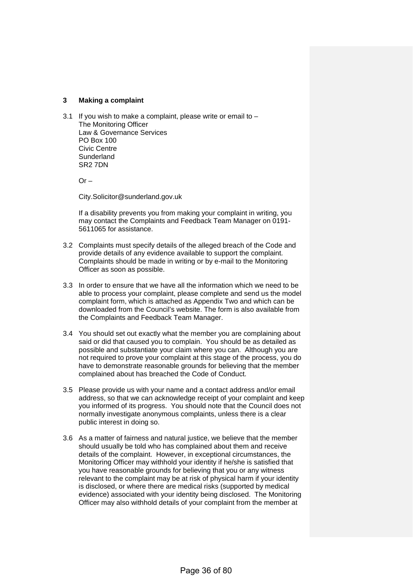### **3 Making a complaint**

3.1 If you wish to make a complaint, please write or email to – The Monitoring Officer Law & Governance Services PO Box 100 Civic Centre Sunderland SR2 7DN

 $Or -$ 

City.Solicitor@sunderland.gov.uk

If a disability prevents you from making your complaint in writing, you may contact the Complaints and Feedback Team Manager on 0191- 5611065 for assistance.

- 3.2 Complaints must specify details of the alleged breach of the Code and provide details of any evidence available to support the complaint. Complaints should be made in writing or by e-mail to the Monitoring Officer as soon as possible.
- 3.3 In order to ensure that we have all the information which we need to be able to process your complaint, please complete and send us the model complaint form, which is attached as Appendix Two and which can be downloaded from the Council's website. The form is also available from the Complaints and Feedback Team Manager.
- 3.4 You should set out exactly what the member you are complaining about said or did that caused you to complain. You should be as detailed as possible and substantiate your claim where you can. Although you are not required to prove your complaint at this stage of the process, you do have to demonstrate reasonable grounds for believing that the member complained about has breached the Code of Conduct.
- 3.5 Please provide us with your name and a contact address and/or email address, so that we can acknowledge receipt of your complaint and keep you informed of its progress. You should note that the Council does not normally investigate anonymous complaints, unless there is a clear public interest in doing so.
- 3.6 As a matter of fairness and natural justice, we believe that the member should usually be told who has complained about them and receive details of the complaint. However, in exceptional circumstances, the Monitoring Officer may withhold your identity if he/she is satisfied that you have reasonable grounds for believing that you or any witness relevant to the complaint may be at risk of physical harm if your identity is disclosed, or where there are medical risks (supported by medical evidence) associated with your identity being disclosed. The Monitoring Officer may also withhold details of your complaint from the member at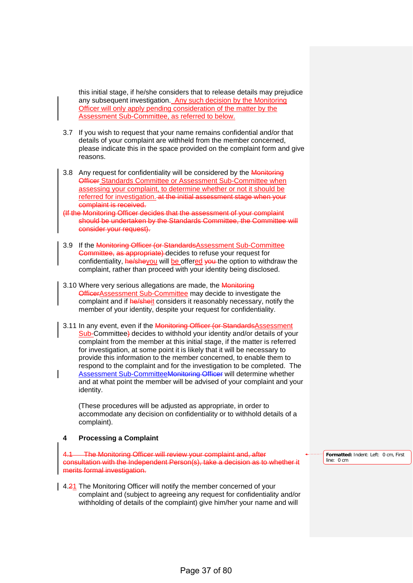this initial stage, if he/she considers that to release details may prejudice any subsequent investigation. Any such decision by the Monitoring Officer will only apply pending consideration of the matter by the Assessment Sub-Committee, as referred to below.

- 3.7 If you wish to request that your name remains confidential and/or that details of your complaint are withheld from the member concerned, please indicate this in the space provided on the complaint form and give reasons.
- 3.8 Any request for confidentiality will be considered by the Monitoring Officer Standards Committee or Assessment Sub-Committee when assessing your complaint, to determine whether or not it should be referred for investigation. at the initial assessment stage when your complaint is received.
- (If the Monitoring Officer decides that the assessment of your complaint should be undertaken by the Standards Committee, the Committee will consider your request).
- 3.9 If the Monitoring Officer (or StandardsAssessment Sub-Committee Committee, as appropriate) decides to refuse your request for confidentiality, he/sheyou will be offered you the option to withdraw the complaint, rather than proceed with your identity being disclosed.
- 3.10 Where very serious allegations are made, the Monitoring OfficerAssessment Sub-Committee may decide to investigate the complaint and if he/sheit considers it reasonably necessary, notify the member of your identity, despite your request for confidentiality.
- 3.11 In any event, even if the Monitoring Officer (or Standards Assessment Sub-Committee) decides to withhold your identity and/or details of your complaint from the member at this initial stage, if the matter is referred for investigation, at some point it is likely that it will be necessary to provide this information to the member concerned, to enable them to respond to the complaint and for the investigation to be completed. The Assessment Sub-CommitteeMonitoring Officer will determine whether and at what point the member will be advised of your complaint and your identity.

 (These procedures will be adjusted as appropriate, in order to accommodate any decision on confidentiality or to withhold details of a complaint).

#### **4 Processing a Complaint**

The Monitoring Officer will review your complaint and, after consultation with the Independent Person(s), take a decision as to whether it merits formal investigation.

 $\vert$  4.21 The Monitoring Officer will notify the member concerned of your complaint and (subject to agreeing any request for confidentiality and/or withholding of details of the complaint) give him/her your name and will

**Formatted:** Indent: Left: 0 cm, First line: 0 cm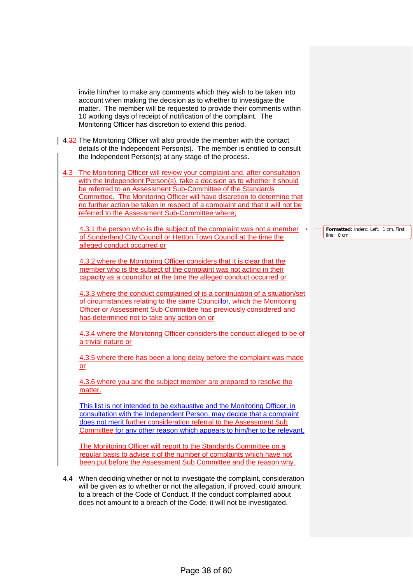invite him/her to make any comments which they wish to be taken into account when making the decision as to whether to investigate the matter. The member will be requested to provide their comments within 10 working days of receipt of notification of the complaint. The Monitoring Officer has discretion to extend this period.

- 4.32 The Monitoring Officer will also provide the member with the contact details of the Independent Person(s). The member is entitled to consult the Independent Person(s) at any stage of the process.
	- 4.3 The Monitoring Officer will review your complaint and, after consultation with the Independent Person(s), take a decision as to whether it should be referred to an Assessment Sub-Committee of the Standards Committee. The Monitoring Officer will have discretion to determine that no further action be taken in respect of a complaint and that it will not be referred to the Assessment Sub-Committee where;

4.3.1 the person who is the subject of the complaint was not a member of Sunderland City Council or Hetton Town Council at the time the alleged conduct occurred or

4.3.2 where the Monitoring Officer considers that it is clear that the member who is the subject of the complaint was not acting in their capacity as a councillor at the time the alleged conduct occurred or

4.3.3 where the conduct complained of is a continuation of a situation/set of circumstances relating to the same Councillor, which the Monitoring Officer or Assessment Sub Committee has previously considered and has determined not to take any action on or

4.3.4 where the Monitoring Officer considers the conduct alleged to be of a trivial nature or

4.3.5 where there has been a long delay before the complaint was made or

4.3.6 where you and the subject member are prepared to resolve the matter.

This list is not intended to be exhaustive and the Monitoring Officer, in consultation with the Independent Person, may decide that a complaint does not merit further consideration referral to the Assessment Sub Committee for any other reason which appears to him/her to be relevant.

The Monitoring Officer will report to the Standards Committee on a regular basis to advise it of the number of complaints which have not been put before the Assessment Sub Committee and the reason why.

4.4 When deciding whether or not to investigate the complaint, consideration will be given as to whether or not the allegation, if proved, could amount to a breach of the Code of Conduct. If the conduct complained about does not amount to a breach of the Code, it will not be investigated.

**Formatted:** Indent: Left: 1 cm, First line: 0 cm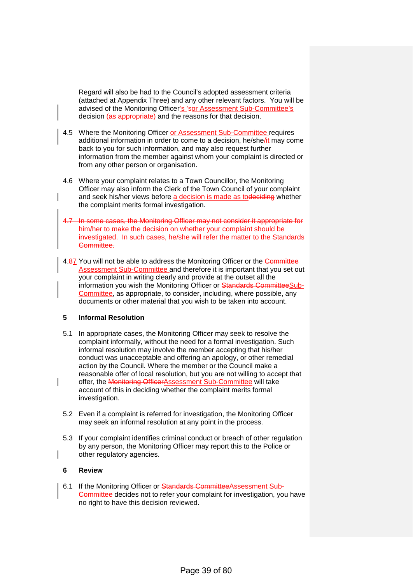Regard will also be had to the Council's adopted assessment criteria (attached at Appendix Three) and any other relevant factors. You will be advised of the Monitoring Officer's 'sor Assessment Sub-Committee's decision (as appropriate) and the reasons for that decision.

- 4.5 Where the Monitoring Officer or Assessment Sub-Committee requires additional information in order to come to a decision, he/she/it may come back to you for such information, and may also request further information from the member against whom your complaint is directed or from any other person or organisation.
- 4.6 Where your complaint relates to a Town Councillor, the Monitoring Officer may also inform the Clerk of the Town Council of your complaint and seek his/her views before a decision is made as to deciding whether the complaint merits formal investigation.
- In some cases, the Monitoring Officer may not consider it appropriate for him/her to make the decision on whether your complaint should be investigated. In such cases, he/she will refer the matter to the Standards Committee.
- 4.87 You will not be able to address the Monitoring Officer or the Committee Assessment Sub-Committee and therefore it is important that you set out your complaint in writing clearly and provide at the outset all the information you wish the Monitoring Officer or Standards CommitteeSub-Committee, as appropriate, to consider, including, where possible, any documents or other material that you wish to be taken into account.

# **5 Informal Resolution**

- 5.1 In appropriate cases, the Monitoring Officer may seek to resolve the complaint informally, without the need for a formal investigation. Such informal resolution may involve the member accepting that his/her conduct was unacceptable and offering an apology, or other remedial action by the Council. Where the member or the Council make a reasonable offer of local resolution, but you are not willing to accept that offer, the Monitoring Officer Assessment Sub-Committee will take account of this in deciding whether the complaint merits formal investigation.
- 5.2 Even if a complaint is referred for investigation, the Monitoring Officer may seek an informal resolution at any point in the process.
- 5.3 If your complaint identifies criminal conduct or breach of other regulation by any person, the Monitoring Officer may report this to the Police or other regulatory agencies.

# **6 Review**

6.1 If the Monitoring Officer or Standards Committee Assessment Sub-Committee decides not to refer your complaint for investigation, you have no right to have this decision reviewed.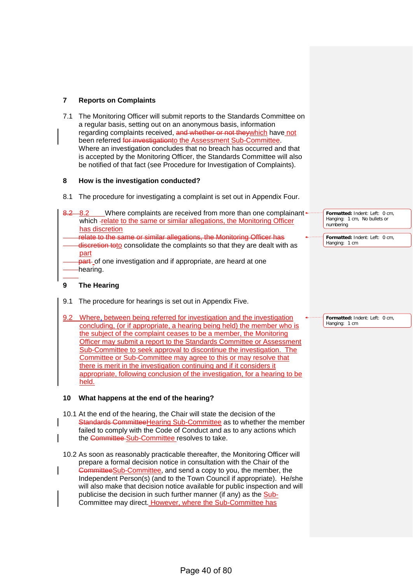# **7 Reports on Complaints**

7.1 The Monitoring Officer will submit reports to the Standards Committee on a regular basis, setting out on an anonymous basis, information regarding complaints received, and whether or not theywhich have not been referred for investigation to the Assessment Sub-Committee. Where an investigation concludes that no breach has occurred and that is accepted by the Monitoring Officer, the Standards Committee will also be notified of that fact (see Procedure for Investigation of Complaints).

# **8 How is the investigation conducted?**

- 8.1 The procedure for investigating a complaint is set out in Appendix Four.
- 8.2 8.2 Where complaints are received from more than one complainant which -relate to the same or similar allegations, the Monitoring Officer has discretion relate to the same or similar allegations, the Monitoring Officer has discretion toto consolidate the complaints so that they are dealt with as part part of one investigation and if appropriate, are heard at one hearing. **Formatted:** Indent: Left: 0 cm, Hanging: 1 cm, No bullets or numbering **Formatted:** Indent: Left: 0 cm, Hanging: 1 cm

**Formatted:** Indent: Left: 0 cm,

Hanging: 1 cm

# **9 The Hearing**

- 9.1 The procedure for hearings is set out in Appendix Five.
- 9.2 Where, between being referred for investigation and the investigation concluding, (or if appropriate, a hearing being held) the member who is the subject of the complaint ceases to be a member, the Monitoring **Officer may submit a report to the Standards Committee or Assessment** Sub-Committee to seek approval to discontinue the investigation. The Committee or Sub-Committee may agree to this or may resolve that there is merit in the investigation continuing and if it considers it appropriate, following conclusion of the investigation, for a hearing to be held.

# **10 What happens at the end of the hearing?**

- 10.1 At the end of the hearing, the Chair will state the decision of the Standards Committee Hearing Sub-Committee as to whether the member failed to comply with the Code of Conduct and as to any actions which the Committee Sub-Committee resolves to take.
- 10.2 As soon as reasonably practicable thereafter, the Monitoring Officer will prepare a formal decision notice in consultation with the Chair of the CommitteeSub-Committee, and send a copy to you, the member, the Independent Person(s) (and to the Town Council if appropriate). He/she will also make that decision notice available for public inspection and will publicise the decision in such further manner (if any) as the Sub-Committee may direct. However, where the Sub-Committee has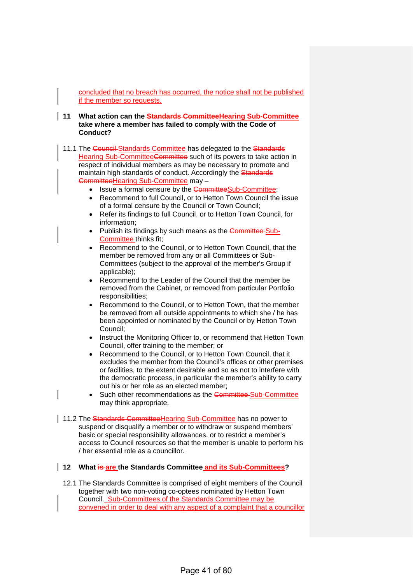concluded that no breach has occurred, the notice shall not be published if the member so requests.

#### **11 What action can the Standards CommitteeHearing Sub-Committee take where a member has failed to comply with the Code of Conduct?**

- 11.1 The Council Standards Committee has delegated to the Standards Hearing Sub-CommitteeCommittee such of its powers to take action in respect of individual members as may be necessary to promote and maintain high standards of conduct. Accordingly the Standards CommitteeHearing Sub-Committee may –
	- Issue a formal censure by the CommitteeSub-Committee;
	- Recommend to full Council, or to Hetton Town Council the issue of a formal censure by the Council or Town Council;
	- Refer its findings to full Council, or to Hetton Town Council, for information;
	- Publish its findings by such means as the Committee-Sub-Committee thinks fit;
	- Recommend to the Council, or to Hetton Town Council, that the member be removed from any or all Committees or Sub-Committees (subject to the approval of the member's Group if applicable);
	- Recommend to the Leader of the Council that the member be removed from the Cabinet, or removed from particular Portfolio responsibilities;
	- Recommend to the Council, or to Hetton Town, that the member be removed from all outside appointments to which she / he has been appointed or nominated by the Council or by Hetton Town Council;
	- Instruct the Monitoring Officer to, or recommend that Hetton Town Council, offer training to the member; or
	- Recommend to the Council, or to Hetton Town Council, that it excludes the member from the Council's offices or other premises or facilities, to the extent desirable and so as not to interfere with the democratic process, in particular the member's ability to carry out his or her role as an elected member;
	- Such other recommendations as the Committee-Sub-Committee may think appropriate.
- 11.2 The Standards Committee Hearing Sub-Committee has no power to suspend or disqualify a member or to withdraw or suspend members' basic or special responsibility allowances, or to restrict a member's access to Council resources so that the member is unable to perform his / her essential role as a councillor.

# **12 What is are the Standards Committee and its Sub-Committees?**

12.1 The Standards Committee is comprised of eight members of the Council together with two non-voting co-optees nominated by Hetton Town Council. Sub-Committees of the Standards Committee may be convened in order to deal with any aspect of a complaint that a councillor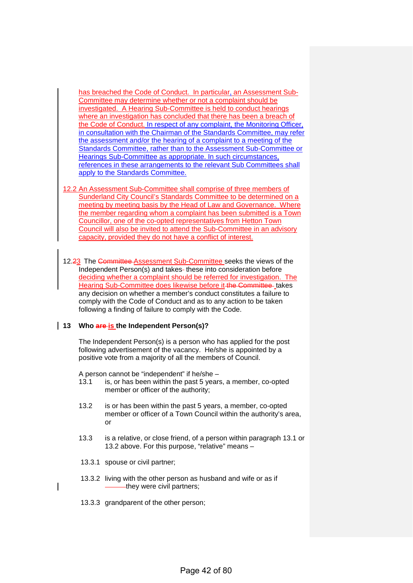has breached the Code of Conduct. In particular, an Assessment Sub-Committee may determine whether or not a complaint should be investigated. A Hearing Sub-Committee is held to conduct hearings where an investigation has concluded that there has been a breach of the Code of Conduct. In respect of any complaint, the Monitoring Officer, in consultation with the Chairman of the Standards Committee, may refer the assessment and/or the hearing of a complaint to a meeting of the Standards Committee, rather than to the Assessment Sub-Committee or Hearings Sub-Committee as appropriate. In such circumstances, references in these arrangements to the relevant Sub Committees shall apply to the Standards Committee.

- 12.2 An Assessment Sub-Committee shall comprise of three members of Sunderland City Council's Standards Committee to be determined on a meeting by meeting basis by the Head of Law and Governance. Where the member regarding whom a complaint has been submitted is a Town Councillor, one of the co-opted representatives from Hetton Town Council will also be invited to attend the Sub-Committee in an advisory capacity, provided they do not have a conflict of interest.
- 12.23 The Committee Assessment Sub-Committee seeks the views of the Independent Person(s) and takes-these into consideration before deciding whether a complaint should be referred for investigation. The Hearing Sub-Committee does likewise before it the Committee takes any decision on whether a member's conduct constitutes a failure to comply with the Code of Conduct and as to any action to be taken following a finding of failure to comply with the Code.

#### **13 Who are is the Independent Person(s)?**

The Independent Person(s) is a person who has applied for the post following advertisement of the vacancy. He/she is appointed by a positive vote from a majority of all the members of Council.

A person cannot be "independent" if he/she  $-13.1$  is, or has been within the past 5 years

- is, or has been within the past 5 years, a member, co-opted member or officer of the authority;
- 13.2 is or has been within the past 5 years, a member, co-opted member or officer of a Town Council within the authority's area, or
- 13.3 is a relative, or close friend, of a person within paragraph 13.1 or 13.2 above. For this purpose, "relative" means –
- 13.3.1 spouse or civil partner;
- 13.3.2 living with the other person as husband and wife or as if -they were civil partners;
- 13.3.3 grandparent of the other person;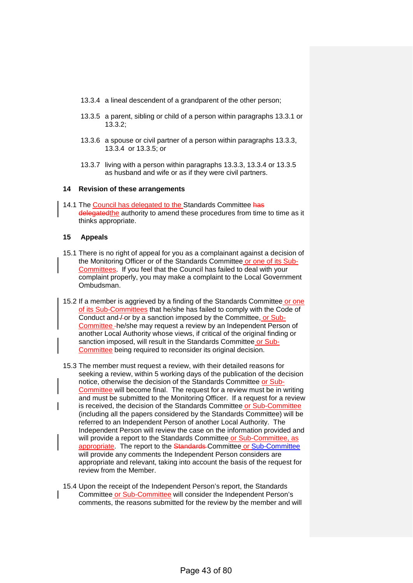- 13.3.4 a lineal descendent of a grandparent of the other person;
- 13.3.5 a parent, sibling or child of a person within paragraphs 13.3.1 or 13.3.2;
- 13.3.6 a spouse or civil partner of a person within paragraphs 13.3.3, 13.3.4 or 13.3.5; or
- 13.3.7 living with a person within paragraphs 13.3.3, 13.3.4 or 13.3.5 as husband and wife or as if they were civil partners.

#### **14 Revision of these arrangements**

14.1 The Council has delegated to the Standards Committee has delegatedthe authority to amend these procedures from time to time as it thinks appropriate.

#### **15 Appeals**

- 15.1 There is no right of appeal for you as a complainant against a decision of the Monitoring Officer or of the Standards Committee or one of its Sub-Committees. If you feel that the Council has failed to deal with your complaint properly, you may make a complaint to the Local Government Ombudsman.
- 15.2 If a member is aggrieved by a finding of the Standards Committee or one of its Sub-Committees that he/she has failed to comply with the Code of Conduct and -/- or by a sanction imposed by the Committee, or Sub-Committee he/she may request a review by an Independent Person of another Local Authority whose views, if critical of the original finding or sanction imposed, will result in the Standards Committee or Sub-Committee being required to reconsider its original decision.
- 15.3 The member must request a review, with their detailed reasons for seeking a review, within 5 working days of the publication of the decision notice, otherwise the decision of the Standards Committee or Sub-Committee will become final. The request for a review must be in writing and must be submitted to the Monitoring Officer. If a request for a review is received, the decision of the Standards Committee or Sub-Committee (including all the papers considered by the Standards Committee) will be referred to an Independent Person of another Local Authority. The Independent Person will review the case on the information provided and will provide a report to the Standards Committee or Sub-Committee, as appropriate. The report to the Standards-Committee or Sub-Committee will provide any comments the Independent Person considers are appropriate and relevant, taking into account the basis of the request for review from the Member.
- 15.4 Upon the receipt of the Independent Person's report, the Standards Committee or Sub-Committee will consider the Independent Person's comments, the reasons submitted for the review by the member and will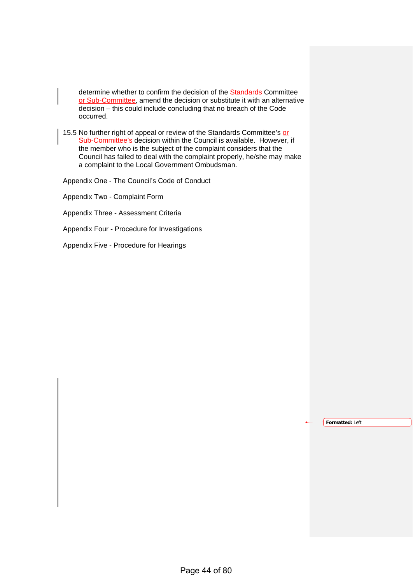determine whether to confirm the decision of the Standards Committee or Sub-Committee, amend the decision or substitute it with an alternative decision – this could include concluding that no breach of the Code occurred.

15.5 No further right of appeal or review of the Standards Committee's or Sub-Committee's decision within the Council is available. However, if the member who is the subject of the complaint considers that the Council has failed to deal with the complaint properly, he/she may make a complaint to the Local Government Ombudsman.

Appendix One - The Council's Code of Conduct

Appendix Two - Complaint Form

Appendix Three - Assessment Criteria

Appendix Four - Procedure for Investigations

Appendix Five - Procedure for Hearings

**Formatted:** Left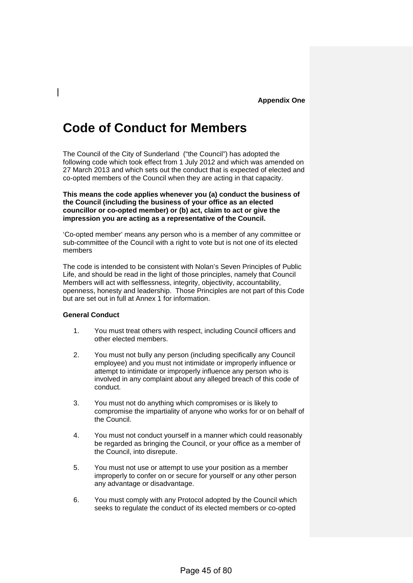# **Code of Conduct for Members**

The Council of the City of Sunderland ("the Council") has adopted the following code which took effect from 1 July 2012 and which was amended on 27 March 2013 and which sets out the conduct that is expected of elected and co-opted members of the Council when they are acting in that capacity.

**This means the code applies whenever you (a) conduct the business of the Council (including the business of your office as an elected councillor or co-opted member) or (b) act, claim to act or give the impression you are acting as a representative of the Council.**

'Co-opted member' means any person who is a member of any committee or sub-committee of the Council with a right to vote but is not one of its elected members

The code is intended to be consistent with Nolan's Seven Principles of Public Life, and should be read in the light of those principles, namely that Council Members will act with selflessness, integrity, objectivity, accountability, openness, honesty and leadership. Those Principles are not part of this Code but are set out in full at Annex 1 for information.

#### **General Conduct**

- 1. You must treat others with respect, including Council officers and other elected members.
- 2. You must not bully any person (including specifically any Council employee) and you must not intimidate or improperly influence or attempt to intimidate or improperly influence any person who is involved in any complaint about any alleged breach of this code of conduct.
- 3. You must not do anything which compromises or is likely to compromise the impartiality of anyone who works for or on behalf of the Council.
- 4. You must not conduct yourself in a manner which could reasonably be regarded as bringing the Council, or your office as a member of the Council, into disrepute.
- 5. You must not use or attempt to use your position as a member improperly to confer on or secure for yourself or any other person any advantage or disadvantage.
- 6. You must comply with any Protocol adopted by the Council which seeks to regulate the conduct of its elected members or co-opted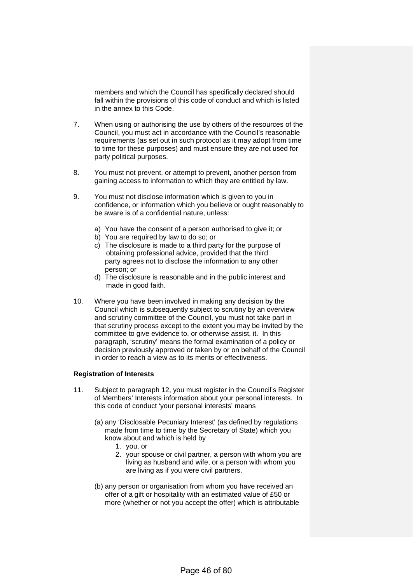members and which the Council has specifically declared should fall within the provisions of this code of conduct and which is listed in the annex to this Code.

- 7. When using or authorising the use by others of the resources of the Council, you must act in accordance with the Council's reasonable requirements (as set out in such protocol as it may adopt from time to time for these purposes) and must ensure they are not used for party political purposes.
- 8. You must not prevent, or attempt to prevent, another person from gaining access to information to which they are entitled by law.
- 9. You must not disclose information which is given to you in confidence, or information which you believe or ought reasonably to be aware is of a confidential nature, unless:
	- a) You have the consent of a person authorised to give it; or
	- b) You are required by law to do so; or
	- c) The disclosure is made to a third party for the purpose of obtaining professional advice, provided that the third party agrees not to disclose the information to any other person; or
	- d) The disclosure is reasonable and in the public interest and made in good faith.
- 10. Where you have been involved in making any decision by the Council which is subsequently subject to scrutiny by an overview and scrutiny committee of the Council, you must not take part in that scrutiny process except to the extent you may be invited by the committee to give evidence to, or otherwise assist, it. In this paragraph, 'scrutiny' means the formal examination of a policy or decision previously approved or taken by or on behalf of the Council in order to reach a view as to its merits or effectiveness.

#### **Registration of Interests**

- 11. Subject to paragraph 12, you must register in the Council's Register of Members' Interests information about your personal interests. In this code of conduct 'your personal interests' means
	- (a) any 'Disclosable Pecuniary Interest' (as defined by regulations made from time to time by the Secretary of State) which you know about and which is held by
		- 1. you, or
		- 2. your spouse or civil partner, a person with whom you are living as husband and wife, or a person with whom you are living as if you were civil partners.
	- (b) any person or organisation from whom you have received an offer of a gift or hospitality with an estimated value of £50 or more (whether or not you accept the offer) which is attributable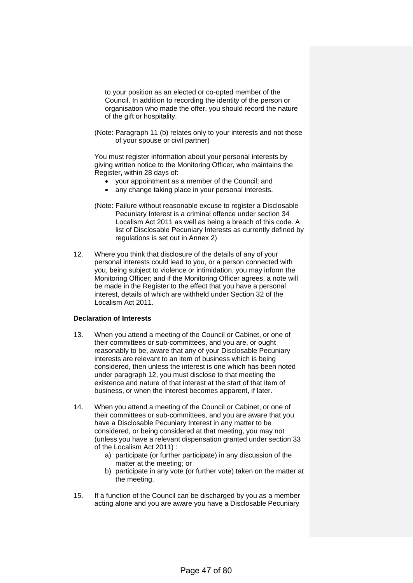to your position as an elected or co-opted member of the Council. In addition to recording the identity of the person or organisation who made the offer, you should record the nature of the gift or hospitality.

(Note: Paragraph 11 (b) relates only to your interests and not those of your spouse or civil partner)

You must register information about your personal interests by giving written notice to the Monitoring Officer, who maintains the Register, within 28 days of:

- your appointment as a member of the Council; and
- any change taking place in your personal interests.
- (Note: Failure without reasonable excuse to register a Disclosable Pecuniary Interest is a criminal offence under section 34 Localism Act 2011 as well as being a breach of this code. A list of Disclosable Pecuniary Interests as currently defined by regulations is set out in Annex 2)
- 12. Where you think that disclosure of the details of any of your personal interests could lead to you, or a person connected with you, being subject to violence or intimidation, you may inform the Monitoring Officer; and if the Monitoring Officer agrees, a note will be made in the Register to the effect that you have a personal interest, details of which are withheld under Section 32 of the Localism Act 2011.

#### **Declaration of Interests**

- 13. When you attend a meeting of the Council or Cabinet, or one of their committees or sub-committees, and you are, or ought reasonably to be, aware that any of your Disclosable Pecuniary interests are relevant to an item of business which is being considered, then unless the interest is one which has been noted under paragraph 12, you must disclose to that meeting the existence and nature of that interest at the start of that item of business, or when the interest becomes apparent, if later.
- 14. When you attend a meeting of the Council or Cabinet, or one of their committees or sub-committees, and you are aware that you have a Disclosable Pecuniary Interest in any matter to be considered, or being considered at that meeting, you may not (unless you have a relevant dispensation granted under section 33 of the Localism Act 2011) :
	- a) participate (or further participate) in any discussion of the matter at the meeting; or
	- b) participate in any vote (or further vote) taken on the matter at the meeting.
- 15. If a function of the Council can be discharged by you as a member acting alone and you are aware you have a Disclosable Pecuniary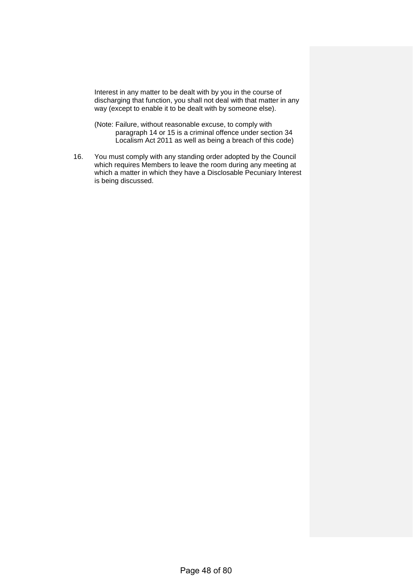Interest in any matter to be dealt with by you in the course of discharging that function, you shall not deal with that matter in any way (except to enable it to be dealt with by someone else).

- (Note: Failure, without reasonable excuse, to comply with paragraph 14 or 15 is a criminal offence under section 34 Localism Act 2011 as well as being a breach of this code)
- 16. You must comply with any standing order adopted by the Council which requires Members to leave the room during any meeting at which a matter in which they have a Disclosable Pecuniary Interest is being discussed.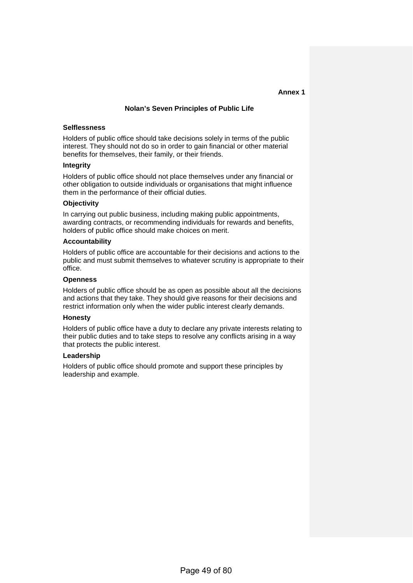# **Annex 1**

# **Nolan's Seven Principles of Public Life**

#### **Selflessness**

Holders of public office should take decisions solely in terms of the public interest. They should not do so in order to gain financial or other material benefits for themselves, their family, or their friends.

#### **Integrity**

Holders of public office should not place themselves under any financial or other obligation to outside individuals or organisations that might influence them in the performance of their official duties.

#### **Objectivity**

In carrying out public business, including making public appointments, awarding contracts, or recommending individuals for rewards and benefits, holders of public office should make choices on merit.

#### **Accountability**

Holders of public office are accountable for their decisions and actions to the public and must submit themselves to whatever scrutiny is appropriate to their office.

#### **Openness**

Holders of public office should be as open as possible about all the decisions and actions that they take. They should give reasons for their decisions and restrict information only when the wider public interest clearly demands.

#### **Honesty**

Holders of public office have a duty to declare any private interests relating to their public duties and to take steps to resolve any conflicts arising in a way that protects the public interest.

#### **Leadership**

Holders of public office should promote and support these principles by leadership and example.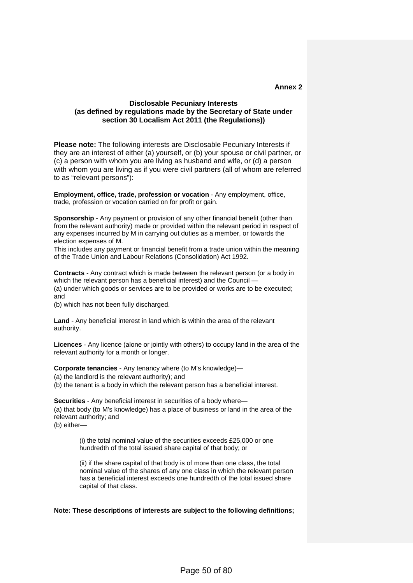**Annex 2**

# **Disclosable Pecuniary Interests (as defined by regulations made by the Secretary of State under section 30 Localism Act 2011 (the Regulations))**

**Please note:** The following interests are Disclosable Pecuniary Interests if they are an interest of either (a) yourself, or (b) your spouse or civil partner, or (c) a person with whom you are living as husband and wife, or (d) a person with whom you are living as if you were civil partners (all of whom are referred to as "relevant persons"):

**Employment, office, trade, profession or vocation** - Any employment, office, trade, profession or vocation carried on for profit or gain.

**Sponsorship** - Any payment or provision of any other financial benefit (other than from the relevant authority) made or provided within the relevant period in respect of any expenses incurred by M in carrying out duties as a member, or towards the election expenses of M.

This includes any payment or financial benefit from a trade union within the meaning of the Trade Union and Labour Relations (Consolidation) Act 1992.

**Contracts** - Any contract which is made between the relevant person (or a body in which the relevant person has a beneficial interest) and the Council — (a) under which goods or services are to be provided or works are to be executed; and

(b) which has not been fully discharged.

**Land** - Any beneficial interest in land which is within the area of the relevant authority.

**Licences** - Any licence (alone or jointly with others) to occupy land in the area of the relevant authority for a month or longer.

**Corporate tenancies** - Any tenancy where (to M's knowledge)—

(a) the landlord is the relevant authority); and

(b) the tenant is a body in which the relevant person has a beneficial interest.

**Securities** - Any beneficial interest in securities of a body where— (a) that body (to M's knowledge) has a place of business or land in the area of the relevant authority; and

(b) either—

(i) the total nominal value of the securities exceeds £25,000 or one hundredth of the total issued share capital of that body; or

(ii) if the share capital of that body is of more than one class, the total nominal value of the shares of any one class in which the relevant person has a beneficial interest exceeds one hundredth of the total issued share capital of that class.

#### **Note: These descriptions of interests are subject to the following definitions;**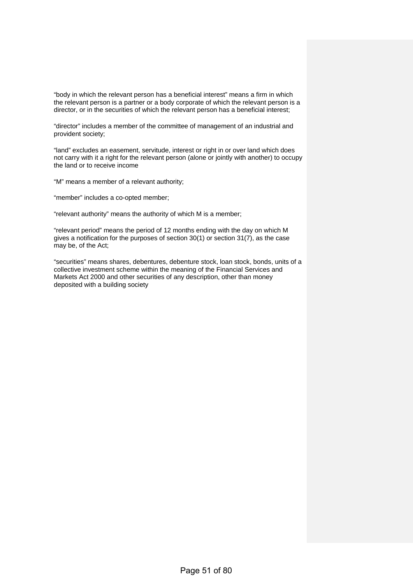"body in which the relevant person has a beneficial interest" means a firm in which the relevant person is a partner or a body corporate of which the relevant person is a director, or in the securities of which the relevant person has a beneficial interest;

"director" includes a member of the committee of management of an industrial and provident society;

"land" excludes an easement, servitude, interest or right in or over land which does not carry with it a right for the relevant person (alone or jointly with another) to occupy the land or to receive income

"M" means a member of a relevant authority;

"member" includes a co-opted member;

"relevant authority" means the authority of which M is a member;

"relevant period" means the period of 12 months ending with the day on which M gives a notification for the purposes of section 30(1) or section 31(7), as the case may be, of the Act;

"securities" means shares, debentures, debenture stock, loan stock, bonds, units of a collective investment scheme within the meaning of the Financial Services and Markets Act 2000 and other securities of any description, other than money deposited with a building society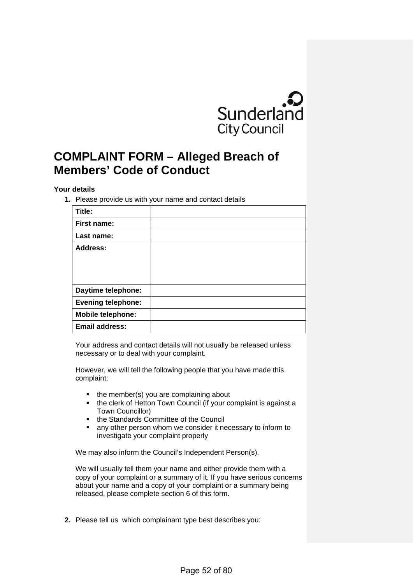

# **COMPLAINT FORM – Alleged Breach of Members' Code of Conduct**

# **Your details**

**1.** Please provide us with your name and contact details

| Title:                    |  |
|---------------------------|--|
| <b>First name:</b>        |  |
| Last name:                |  |
| <b>Address:</b>           |  |
|                           |  |
|                           |  |
|                           |  |
| Daytime telephone:        |  |
| <b>Evening telephone:</b> |  |
| <b>Mobile telephone:</b>  |  |
| <b>Email address:</b>     |  |

Your address and contact details will not usually be released unless necessary or to deal with your complaint.

However, we will tell the following people that you have made this complaint:

- $\blacksquare$  the member(s) you are complaining about
- the clerk of Hetton Town Council (if your complaint is against a Town Councillor)
- the Standards Committee of the Council
- any other person whom we consider it necessary to inform to investigate your complaint properly

We may also inform the Council's Independent Person(s).

We will usually tell them your name and either provide them with a copy of your complaint or a summary of it. If you have serious concerns about your name and a copy of your complaint or a summary being released, please complete section 6 of this form.

**2.** Please tell us which complainant type best describes you: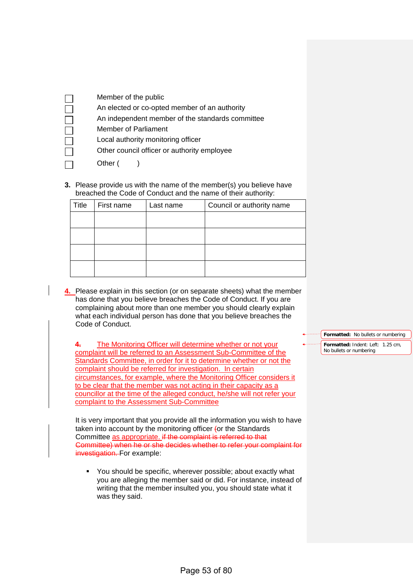| Member of the public                             |
|--------------------------------------------------|
| An elected or co-opted member of an authority    |
| An independent member of the standards committee |
| Member of Parliament                             |
| Local authority monitoring officer               |
| Other council officer or authority employee      |
| Other (                                          |
|                                                  |

**3.** Please provide us with the name of the member(s) you believe have breached the Code of Conduct and the name of their authority:

| Title | First name | Last name | Council or authority name |
|-------|------------|-----------|---------------------------|
|       |            |           |                           |
|       |            |           |                           |
|       |            |           |                           |
|       |            |           |                           |
|       |            |           |                           |

**4.** Please explain in this section (or on separate sheets) what the member has done that you believe breaches the Code of Conduct. If you are complaining about more than one member you should clearly explain what each individual person has done that you believe breaches the Code of Conduct.

**4.** The Monitoring Officer will determine whether or not your complaint will be referred to an Assessment Sub-Committee of the Standards Committee, in order for it to determine whether or not the complaint should be referred for investigation. In certain circumstances, for example, where the Monitoring Officer considers it to be clear that the member was not acting in their capacity as a councillor at the time of the alleged conduct, he/she will not refer your complaint to the Assessment Sub-Committee

It is very important that you provide all the information you wish to have taken into account by the monitoring officer (or the Standards Committee as appropriate. if the complaint is referred to that Committee) when he or she decides whether to refer your complaint for investigation. For example:

 You should be specific, wherever possible; about exactly what you are alleging the member said or did. For instance, instead of writing that the member insulted you, you should state what it was they said.

**Formatted:** No bullets or numbering **Formatted:** Indent: Left: 1.25 cm, No bullets or numbering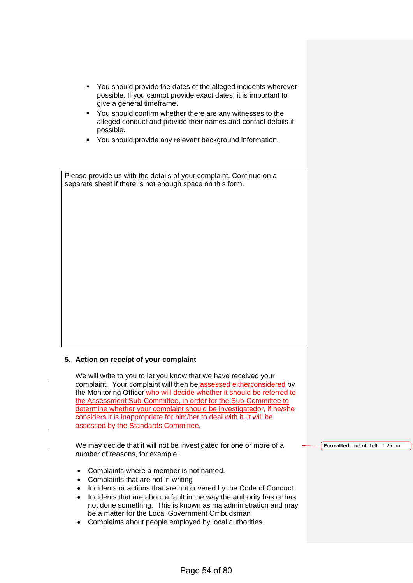- You should provide the dates of the alleged incidents wherever possible. If you cannot provide exact dates, it is important to give a general timeframe.
- You should confirm whether there are any witnesses to the alleged conduct and provide their names and contact details if possible.
- You should provide any relevant background information.

Please provide us with the details of your complaint. Continue on a separate sheet if there is not enough space on this form.

# **5. Action on receipt of your complaint**

We will write to you to let you know that we have received your complaint. Your complaint will then be assessed eitherconsidered by the Monitoring Officer who will decide whether it should be referred to the Assessment Sub-Committee, in order for the Sub-Committee to determine whether your complaint should be investigatedor, if he/she considers it is inappropriate for him/her to deal with it, it will be assessed by the Standards Committee.

We may decide that it will not be investigated for one or more of a number of reasons, for example:

- Complaints where a member is not named.
- Complaints that are not in writing
- Incidents or actions that are not covered by the Code of Conduct
- Incidents that are about a fault in the way the authority has or has not done something. This is known as maladministration and may be a matter for the Local Government Ombudsman
- Complaints about people employed by local authorities

**Formatted:** Indent: Left: 1.25 cm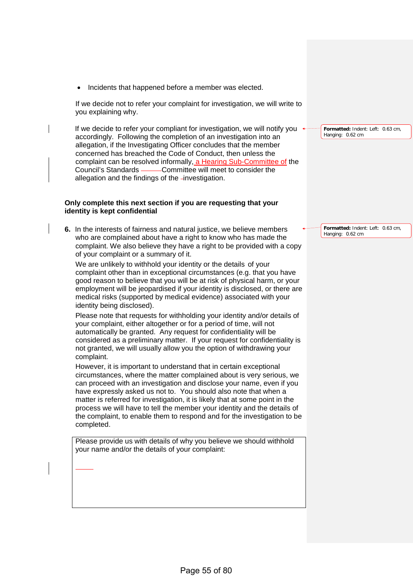• Incidents that happened before a member was elected.

If we decide not to refer your complaint for investigation, we will write to you explaining why.

If we decide to refer your compliant for investigation, we will notify you accordingly. Following the completion of an investigation into an allegation, if the Investigating Officer concludes that the member concerned has breached the Code of Conduct, then unless the complaint can be resolved informally, a Hearing Sub-Committee of the Council's Standards - Committee will meet to consider the allegation and the findings of the -investigation.

# **Only complete this next section if you are requesting that your identity is kept confidential**

**6.** In the interests of fairness and natural justice, we believe members who are complained about have a right to know who has made the complaint. We also believe they have a right to be provided with a copy of your complaint or a summary of it.

We are unlikely to withhold your identity or the details of your complaint other than in exceptional circumstances (e.g. that you have good reason to believe that you will be at risk of physical harm, or your employment will be jeopardised if your identity is disclosed, or there are medical risks (supported by medical evidence) associated with your identity being disclosed).

Please note that requests for withholding your identity and/or details of your complaint, either altogether or for a period of time, will not automatically be granted. Any request for confidentiality will be considered as a preliminary matter. If your request for confidentiality is not granted, we will usually allow you the option of withdrawing your complaint.

However, it is important to understand that in certain exceptional circumstances, where the matter complained about is very serious, we can proceed with an investigation and disclose your name, even if you have expressly asked us not to. You should also note that when a matter is referred for investigation, it is likely that at some point in the process we will have to tell the member your identity and the details of the complaint, to enable them to respond and for the investigation to be completed.

Please provide us with details of why you believe we should withhold your name and/or the details of your complaint:

**Formatted:** Indent: Left: 0.63 cm, Hanging: 0.62 cm

**Formatted:** Indent: Left: 0.63 cm, Hanging: 0.62 cm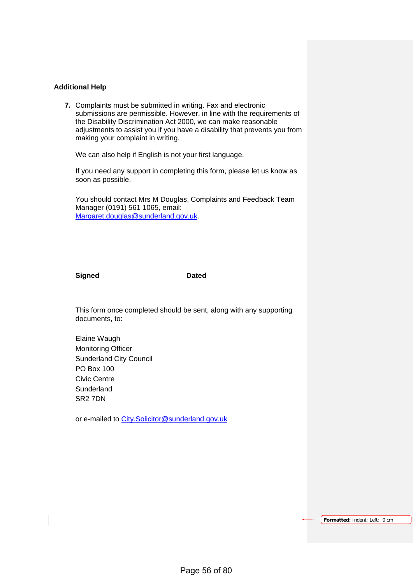### **Additional Help**

**7.** Complaints must be submitted in writing. Fax and electronic submissions are permissible. However, in line with the requirements of the Disability Discrimination Act 2000, we can make reasonable adjustments to assist you if you have a disability that prevents you from making your complaint in writing.

We can also help if English is not your first language.

If you need any support in completing this form, please let us know as soon as possible.

You should contact Mrs M Douglas, Complaints and Feedback Team Manager (0191) 561 1065, email: [Margaret.douglas@sunderland.gov.uk.](mailto:Margaret.douglas@sunderland.gov.uk)

#### **Signed Dated**

This form once completed should be sent, along with any supporting documents, to:

Elaine Waugh Monitoring Officer Sunderland City Council PO Box 100 Civic Centre **Sunderland** SR2 7DN

or e-mailed to [City.Solicitor@sunderland.gov.uk](mailto:City.Solicitor@sunderland.gov.uk)

**Formatted:** Indent: Left: 0 cm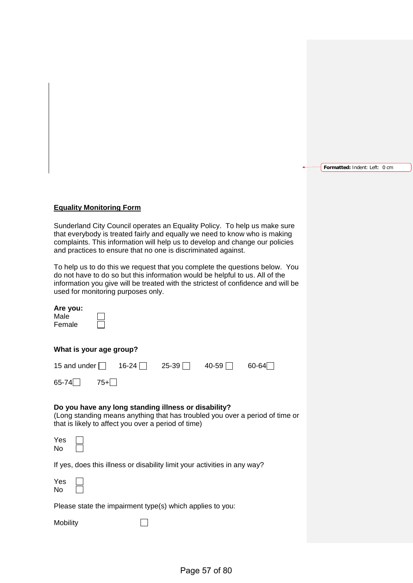**Formatted:** Indent: Left: 0 cm

# **Equality Monitoring Form**

Sunderland City Council operates an Equality Policy. To help us make sure that everybody is treated fairly and equally we need to know who is making complaints. This information will help us to develop and change our policies and practices to ensure that no one is discriminated against.

To help us to do this we request that you complete the questions below. You do not have to do so but this information would be helpful to us. All of the information you give will be treated with the strictest of confidence and will be used for monitoring purposes only.

| Are you:<br>Male<br>Female |      |                                                                                                             |                                                                           |                                                                              |
|----------------------------|------|-------------------------------------------------------------------------------------------------------------|---------------------------------------------------------------------------|------------------------------------------------------------------------------|
| What is your age group?    |      |                                                                                                             |                                                                           |                                                                              |
|                            |      | 15 and under 16-24 25-39 40-59                                                                              |                                                                           | $60 - 64$                                                                    |
| 65-74 $\Box$               | 75+∏ |                                                                                                             |                                                                           |                                                                              |
| Yes<br>No                  |      | Do you have any long standing illness or disability?<br>that is likely to affect you over a period of time) |                                                                           | (Long standing means anything that has troubled you over a period of time or |
|                            |      |                                                                                                             | If yes, does this illness or disability limit your activities in any way? |                                                                              |
| Yes<br>No                  |      |                                                                                                             |                                                                           |                                                                              |
|                            |      | Please state the impairment type(s) which applies to you:                                                   |                                                                           |                                                                              |
| <b>Mobility</b>            |      |                                                                                                             |                                                                           |                                                                              |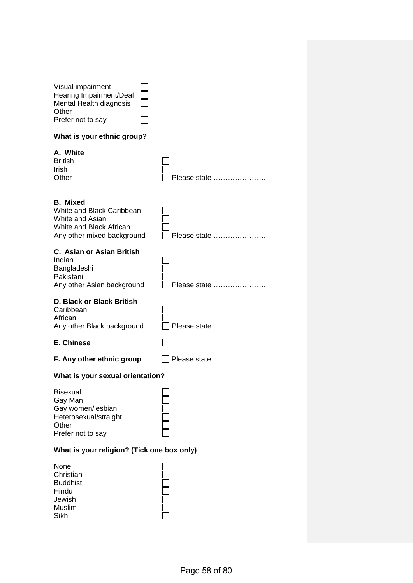| Visual impairment<br>Hearing Impairment/Deaf<br>Mental Health diagnosis<br>Other<br>Prefer not to say                    |              |  |  |  |
|--------------------------------------------------------------------------------------------------------------------------|--------------|--|--|--|
| What is your ethnic group?                                                                                               |              |  |  |  |
| A. White<br><b>British</b><br>Irish<br>Other                                                                             | Please state |  |  |  |
| <b>B.</b> Mixed<br>White and Black Caribbean<br>White and Asian<br>White and Black African<br>Any other mixed background | Please state |  |  |  |
| C. Asian or Asian British<br>Indian<br>Bangladeshi<br>Pakistani<br>Any other Asian background                            | Please state |  |  |  |
| <b>D. Black or Black British</b><br>Caribbean<br>African<br>Any other Black background                                   | Please state |  |  |  |
| E. Chinese                                                                                                               |              |  |  |  |
| F. Any other ethnic group                                                                                                | Please state |  |  |  |
| What is your sexual orientation?                                                                                         |              |  |  |  |
| <b>Bisexual</b><br>Gay Man<br>Gay women/lesbian<br>Heterosexual/straight<br>Other<br>Prefer not to say                   |              |  |  |  |
| What is your religion? (Tick one box only)                                                                               |              |  |  |  |
| None<br>Christian<br><b>Buddhist</b><br>Hindu<br>Jewish<br>Muslim<br>Sikh                                                |              |  |  |  |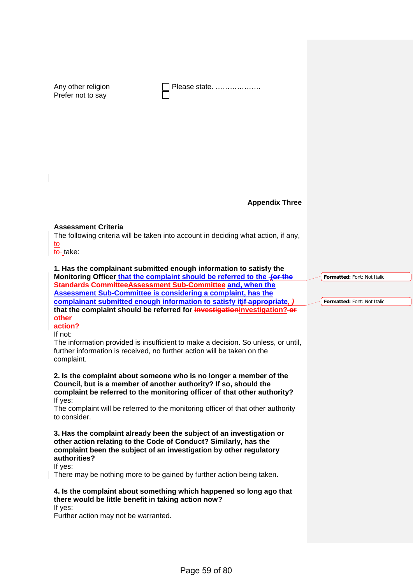| Any other religion<br>Prefer not to say             | Please state                                                                                                                                                                                                                                                                                           |                             |
|-----------------------------------------------------|--------------------------------------------------------------------------------------------------------------------------------------------------------------------------------------------------------------------------------------------------------------------------------------------------------|-----------------------------|
|                                                     |                                                                                                                                                                                                                                                                                                        |                             |
|                                                     |                                                                                                                                                                                                                                                                                                        | <b>Appendix Three</b>       |
| <b>Assessment Criteria</b><br><u>to</u><br>to-take: | The following criteria will be taken into account in deciding what action, if any,                                                                                                                                                                                                                     |                             |
|                                                     | 1. Has the complainant submitted enough information to satisfy the<br>Monitoring Officer that the complaint should be referred to the for the<br><b>Standards Committee Assessment Sub-Committee and, when the</b><br><b>Assessment Sub-Committee is considering a complaint, has the</b>              | Formatted: Font: Not Italic |
|                                                     | complainant submitted enough information to satisfy itif appropriate, )                                                                                                                                                                                                                                | Formatted: Font: Not Italic |
| other<br>action?<br>If not:<br>complaint.           | that the complaint should be referred for investigation investigation?-or<br>The information provided is insufficient to make a decision. So unless, or until,<br>further information is received, no further action will be taken on the                                                              |                             |
| If yes:<br>to consider.                             | 2. Is the complaint about someone who is no longer a member of the<br>Council, but is a member of another authority? If so, should the<br>complaint be referred to the monitoring officer of that other authority?<br>The complaint will be referred to the monitoring officer of that other authority |                             |
| authorities?<br>If yes:                             | 3. Has the complaint already been the subject of an investigation or<br>other action relating to the Code of Conduct? Similarly, has the<br>complaint been the subject of an investigation by other regulatory<br>There may be nothing more to be gained by further action being taken.                |                             |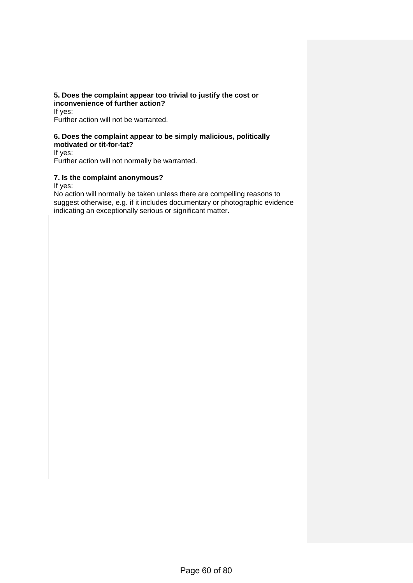# **5. Does the complaint appear too trivial to justify the cost or inconvenience of further action?**

If yes: Further action will not be warranted.

# **6. Does the complaint appear to be simply malicious, politically motivated or tit-for-tat?**

If yes:

Further action will not normally be warranted.

# **7. Is the complaint anonymous?**

If yes:

No action will normally be taken unless there are compelling reasons to suggest otherwise, e.g. if it includes documentary or photographic evidence indicating an exceptionally serious or significant matter.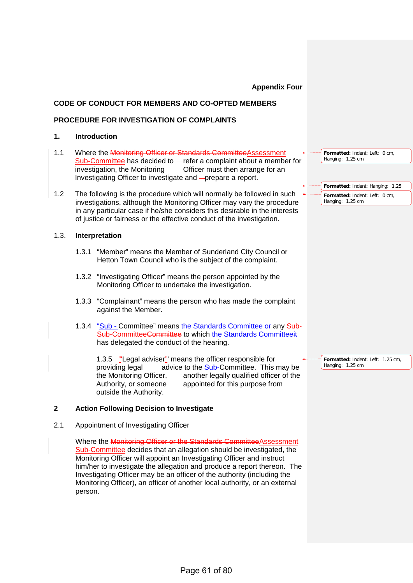# **Appendix Four CODE OF CONDUCT FOR MEMBERS AND CO-OPTED MEMBERS PROCEDURE FOR INVESTIGATION OF COMPLAINTS 1. Introduction** 1.1 Where the Monitoring Officer or Standards Committee Assessment Sub-Committee has decided to - refer a complaint about a member for investigation, the Monitoring ——Officer must then arrange for an Investigating Officer to investigate and -prepare a report. 1.2 The following is the procedure which will normally be followed in such investigations, although the Monitoring Officer may vary the procedure in any particular case if he/she considers this desirable in the interests of justice or fairness or the effective conduct of the investigation. 1.3. **Interpretation** 1.3.1 "Member" means the Member of Sunderland City Council or Hetton Town Council who is the subject of the complaint. 1.3.2 "Investigating Officer" means the person appointed by the Monitoring Officer to undertake the investigation. 1.3.3 "Complainant" means the person who has made the complaint against the Member. 1.3.4 "Sub - Committee" means the Standards Committee or any Sub-Sub-CommitteeCommittee to which the Standards Committeeit has delegated the conduct of the hearing. 1.3.5 "'Legal adviser"' means the officer responsible for providing legal advice to the Sub-Committee. This may be the Monitoring Officer, another legally qualified officer of the Authority, or someone appointed for this purpose from outside the Authority. **2 Action Following Decision to Investigate** 2.1 Appointment of Investigating Officer Where the Monitoring Officer or the Standards CommitteeAssessment Sub-Committee decides that an allegation should be investigated, the Monitoring Officer will appoint an Investigating Officer and instruct him/her to investigate the allegation and produce a report thereon. The Investigating Officer may be an officer of the authority (including the **Formatted:** Indent: Left: 0 cm, Hanging: 1.25 cm **Formatted:** Indent: Hanging: 1.25 **Formatted:** Indent: Left: 0 cm, Hanging: 1.25 cm **Formatted:** Indent: Left: 1.25 cm, Hanging: 1.25 cm

Monitoring Officer), an officer of another local authority, or an external

person.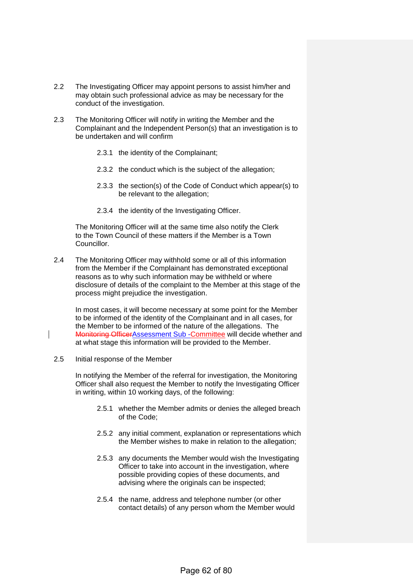- 2.2 The Investigating Officer may appoint persons to assist him/her and may obtain such professional advice as may be necessary for the conduct of the investigation.
- 2.3 The Monitoring Officer will notify in writing the Member and the Complainant and the Independent Person(s) that an investigation is to be undertaken and will confirm
	- 2.3.1 the identity of the Complainant;
	- 2.3.2 the conduct which is the subject of the allegation;
	- 2.3.3 the section(s) of the Code of Conduct which appear(s) to be relevant to the allegation;
	- 2.3.4 the identity of the Investigating Officer.

The Monitoring Officer will at the same time also notify the Clerk to the Town Council of these matters if the Member is a Town Councillor.

2.4 The Monitoring Officer may withhold some or all of this information from the Member if the Complainant has demonstrated exceptional reasons as to why such information may be withheld or where disclosure of details of the complaint to the Member at this stage of the process might prejudice the investigation.

In most cases, it will become necessary at some point for the Member to be informed of the identity of the Complainant and in all cases, for the Member to be informed of the nature of the allegations. The Monitoring OfficerAssessment Sub -Committee will decide whether and at what stage this information will be provided to the Member.

2.5 Initial response of the Member

In notifying the Member of the referral for investigation, the Monitoring Officer shall also request the Member to notify the Investigating Officer in writing, within 10 working days, of the following:

- 2.5.1 whether the Member admits or denies the alleged breach of the Code;
- 2.5.2 any initial comment, explanation or representations which the Member wishes to make in relation to the allegation;
- 2.5.3 any documents the Member would wish the Investigating Officer to take into account in the investigation, where possible providing copies of these documents, and advising where the originals can be inspected;
- 2.5.4 the name, address and telephone number (or other contact details) of any person whom the Member would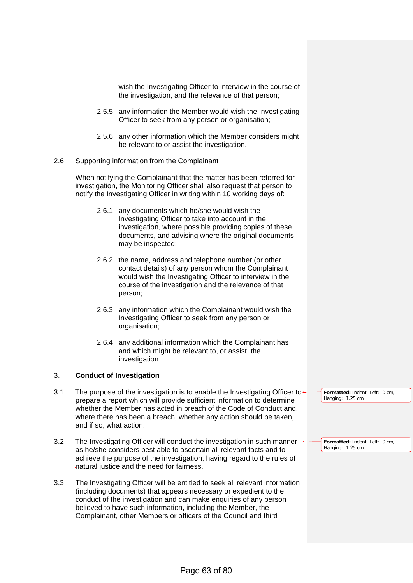wish the Investigating Officer to interview in the course of the investigation, and the relevance of that person;

- 2.5.5 any information the Member would wish the Investigating Officer to seek from any person or organisation;
- 2.5.6 any other information which the Member considers might be relevant to or assist the investigation.
- 2.6 Supporting information from the Complainant

When notifying the Complainant that the matter has been referred for investigation, the Monitoring Officer shall also request that person to notify the Investigating Officer in writing within 10 working days of:

- 2.6.1 any documents which he/she would wish the Investigating Officer to take into account in the investigation, where possible providing copies of these documents, and advising where the original documents may be inspected;
- 2.6.2 the name, address and telephone number (or other contact details) of any person whom the Complainant would wish the Investigating Officer to interview in the course of the investigation and the relevance of that person;
- 2.6.3 any information which the Complainant would wish the Investigating Officer to seek from any person or organisation;
- 2.6.4 any additional information which the Complainant has and which might be relevant to, or assist, the investigation.

# 3. **Conduct of Investigation**

- 3.1 The purpose of the investigation is to enable the Investigating Officer to prepare a report which will provide sufficient information to determine whether the Member has acted in breach of the Code of Conduct and, where there has been a breach, whether any action should be taken, and if so, what action.
- 3.2 The Investigating Officer will conduct the investigation in such manner as he/she considers best able to ascertain all relevant facts and to achieve the purpose of the investigation, having regard to the rules of natural justice and the need for fairness.
- 3.3 The Investigating Officer will be entitled to seek all relevant information (including documents) that appears necessary or expedient to the conduct of the investigation and can make enquiries of any person believed to have such information, including the Member, the Complainant, other Members or officers of the Council and third

**Formatted:** Indent: Left: 0 cm, Hanging: 1.25 cm

**Formatted:** Indent: Left: 0 cm, Hanging: 1.25 cm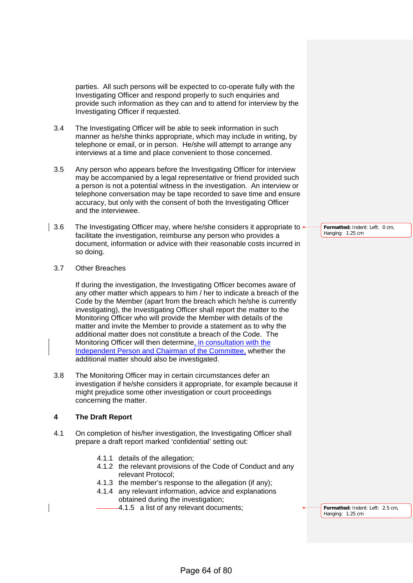parties. All such persons will be expected to co-operate fully with the Investigating Officer and respond properly to such enquiries and provide such information as they can and to attend for interview by the Investigating Officer if requested.

- 3.4 The Investigating Officer will be able to seek information in such manner as he/she thinks appropriate, which may include in writing, by telephone or email, or in person. He/she will attempt to arrange any interviews at a time and place convenient to those concerned.
- 3.5 Any person who appears before the Investigating Officer for interview may be accompanied by a legal representative or friend provided such a person is not a potential witness in the investigation. An interview or telephone conversation may be tape recorded to save time and ensure accuracy, but only with the consent of both the Investigating Officer and the interviewee.
- 3.6 The Investigating Officer may, where he/she considers it appropriate to facilitate the investigation, reimburse any person who provides a document, information or advice with their reasonable costs incurred in so doing.
- 3.7 Other Breaches

If during the investigation, the Investigating Officer becomes aware of any other matter which appears to him / her to indicate a breach of the Code by the Member (apart from the breach which he/she is currently investigating), the Investigating Officer shall report the matter to the Monitoring Officer who will provide the Member with details of the matter and invite the Member to provide a statement as to why the additional matter does not constitute a breach of the Code. The Monitoring Officer will then determine, in consultation with the Independent Person and Chairman of the Committee, whether the additional matter should also be investigated.

3.8 The Monitoring Officer may in certain circumstances defer an investigation if he/she considers it appropriate, for example because it might prejudice some other investigation or court proceedings concerning the matter.

# **4 The Draft Report**

- 4.1 On completion of his/her investigation, the Investigating Officer shall prepare a draft report marked 'confidential' setting out:
	- 4.1.1 details of the allegation;
	- 4.1.2 the relevant provisions of the Code of Conduct and any relevant Protocol;
	- 4.1.3 the member's response to the allegation (if any);
	- 4.1.4 any relevant information, advice and explanations obtained during the investigation;
		- 4.1.5 a list of any relevant documents;

**Formatted:** Indent: Left: 0 cm, Hanging: 1.25 cm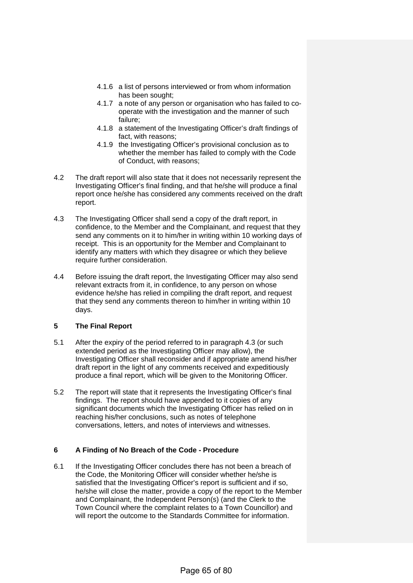- 4.1.6 a list of persons interviewed or from whom information has been sought;
- 4.1.7 a note of any person or organisation who has failed to cooperate with the investigation and the manner of such failure;
- 4.1.8 a statement of the Investigating Officer's draft findings of fact, with reasons;
- 4.1.9 the Investigating Officer's provisional conclusion as to whether the member has failed to comply with the Code of Conduct, with reasons;
- 4.2 The draft report will also state that it does not necessarily represent the Investigating Officer's final finding, and that he/she will produce a final report once he/she has considered any comments received on the draft report.
- 4.3 The Investigating Officer shall send a copy of the draft report, in confidence, to the Member and the Complainant, and request that they send any comments on it to him/her in writing within 10 working days of receipt. This is an opportunity for the Member and Complainant to identify any matters with which they disagree or which they believe require further consideration.
- 4.4 Before issuing the draft report, the Investigating Officer may also send relevant extracts from it, in confidence, to any person on whose evidence he/she has relied in compiling the draft report, and request that they send any comments thereon to him/her in writing within 10 days.

# **5 The Final Report**

- 5.1 After the expiry of the period referred to in paragraph 4.3 (or such extended period as the Investigating Officer may allow), the Investigating Officer shall reconsider and if appropriate amend his/her draft report in the light of any comments received and expeditiously produce a final report, which will be given to the Monitoring Officer.
- 5.2 The report will state that it represents the Investigating Officer's final findings. The report should have appended to it copies of any significant documents which the Investigating Officer has relied on in reaching his/her conclusions, such as notes of telephone conversations, letters, and notes of interviews and witnesses.

# **6 A Finding of No Breach of the Code - Procedure**

6.1 If the Investigating Officer concludes there has not been a breach of the Code, the Monitoring Officer will consider whether he/she is satisfied that the Investigating Officer's report is sufficient and if so, he/she will close the matter, provide a copy of the report to the Member and Complainant, the Independent Person(s) (and the Clerk to the Town Council where the complaint relates to a Town Councillor) and will report the outcome to the Standards Committee for information.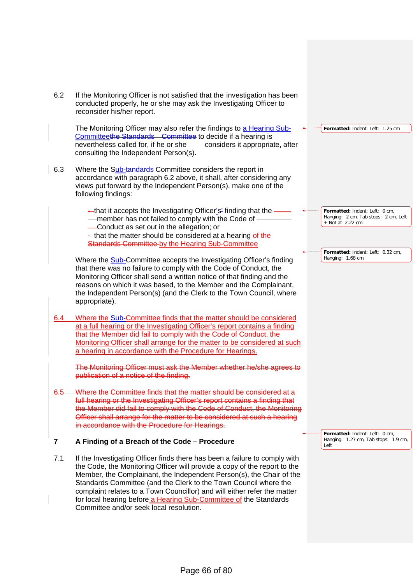6.2 If the Monitoring Officer is not satisfied that the investigation has been conducted properly, he or she may ask the Investigating Officer to reconsider his/her report. The Monitoring Officer may also refer the findings to a Hearing Sub-Committeethe Standards Committee to decide if a hearing is nevertheless called for, if he or she considers it appropriate, after consulting the Independent Person(s). 6.3 Where the Sub-tandards Committee considers the report in accordance with paragraph 6.2 above, it shall, after considering any views put forward by the Independent Person(s), make one of the following findings: - that it accepts the Investigating Officer's' finding that the -member has not failed to comply with the Code of -Conduct as set out in the allegation; or -that the matter should be considered at a hearing of the Standards Committee by the Hearing Sub-Committee Where the **Sub-Committee accepts the Investigating Officer's finding** that there was no failure to comply with the Code of Conduct, the Monitoring Officer shall send a written notice of that finding and the reasons on which it was based, to the Member and the Complainant, the Independent Person(s) (and the Clerk to the Town Council, where appropriate). 6.4 Where the Sub-Committee finds that the matter should be considered at a full hearing or the Investigating Officer's report contains a finding that the Member did fail to comply with the Code of Conduct, the Monitoring Officer shall arrange for the matter to be considered at such a hearing in accordance with the Procedure for Hearings. The Monitoring Officer must ask the Member whether he/she agrees to publication of a notice of the finding. 6.5 Where the Committee finds that the matter should be considered at a full hearing or the Investigating Officer's report contains a finding that the Member did fail to comply with the Code of Conduct, the Monitoring Officer shall arrange for the matter to be considered at such a hearing in accordance with the Procedure for Hearings. **7 A Finding of a Breach of the Code – Procedure** 7.1 If the Investigating Officer finds there has been a failure to comply with the Code, the Monitoring Officer will provide a copy of the report to the Member, the Complainant, the Independent Person(s), the Chair of the Standards Committee (and the Clerk to the Town Council where the complaint relates to a Town Councillor) and will either refer the matter for local hearing before a Hearing Sub-Committee of the Standards Committee and/or seek local resolution. **Formatted:** Indent: Left: 1.25 cm **Formatted:** Indent: Left: 0 cm, Hanging: 2 cm, Tab stops: 2 cm, Left + Not at 2.22 cm **Formatted:** Indent: Left: 0.32 cm, Hanging: 1.68 cm **Formatted:** Indent: Left: 0 cm, Hanging: 1.27 cm, Tab stops: 1.9 cm, Left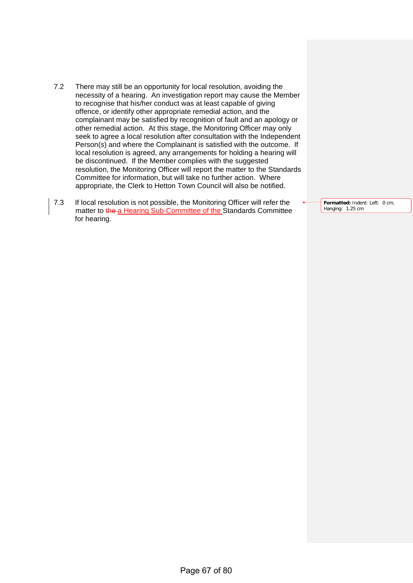- 7.2 There may still be an opportunity for local resolution, avoiding the necessity of a hearing. An investigation report may cause the Member to recognise that his/her conduct was at least capable of giving offence, or identify other appropriate remedial action, and the complainant may be satisfied by recognition of fault and an apology or other remedial action. At this stage, the Monitoring Officer may only seek to agree a local resolution after consultation with the Independent Person(s) and where the Complainant is satisfied with the outcome. If local resolution is agreed, any arrangements for holding a hearing will be discontinued. If the Member complies with the suggested resolution, the Monitoring Officer will report the matter to the Standards Committee for information, but will take no further action. Where appropriate, the Clerk to Hetton Town Council will also be notified.
- 7.3 If local resolution is not possible, the Monitoring Officer will refer the matter to the a Hearing Sub-Committee of the Standards Committee for hearing.

**Formatted:** Indent: Left: 0 cm, Hanging: 1.25 cm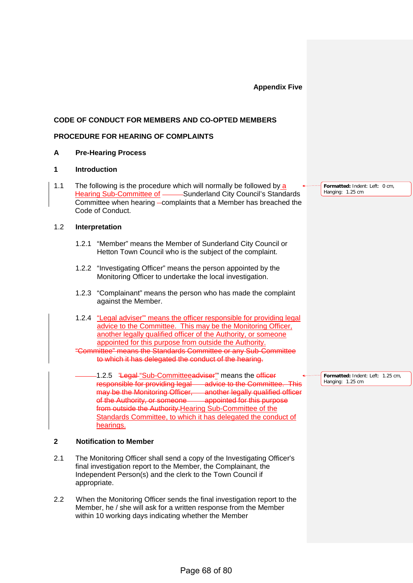# **Appendix Five CODE OF CONDUCT FOR MEMBERS AND CO-OPTED MEMBERS PROCEDURE FOR HEARING OF COMPLAINTS A Pre-Hearing Process 1 Introduction** 1.1 The following is the procedure which will normally be followed by a Hearing Sub-Committee of ——Sunderland City Council's Standards Committee when hearing - complaints that a Member has breached the Code of Conduct. 1.2 **Interpretation** 1.2.1 "Member" means the Member of Sunderland City Council or Hetton Town Council who is the subject of the complaint. 1.2.2 "Investigating Officer" means the person appointed by the Monitoring Officer to undertake the local investigation. 1.2.3 "Complainant" means the person who has made the complaint against the Member. 1.2.4 "Legal adviser" means the officer responsible for providing legal advice to the Committee. This may be the Monitoring Officer, another legally qualified officer of the Authority, or someone appointed for this purpose from outside the Authority. "Committee" means the Standards Committee or any Sub-Committee to which it has delegated the conduct of the hearing. -1.2.5 <del>'Legal</del> "Sub-Committeeadviser"' means the efficer responsible for providing legal advice to the Committee. This may be the Monitoring Officer, another legally qualified officer of the Authority, or someone appointed for this purpose from outside the Authority.Hearing Sub-Committee of the Standards Committee, to which it has delegated the conduct of **Formatted:** Indent: Left: 0 cm, Hanging: 1.25 cm **Formatted:** Indent: Left: 1.25 cm, Hanging: 1.25 cm

# **2 Notification to Member**

hearings.

- 2.1 The Monitoring Officer shall send a copy of the Investigating Officer's final investigation report to the Member, the Complainant, the Independent Person(s) and the clerk to the Town Council if appropriate.
- 2.2 When the Monitoring Officer sends the final investigation report to the Member, he / she will ask for a written response from the Member within 10 working days indicating whether the Member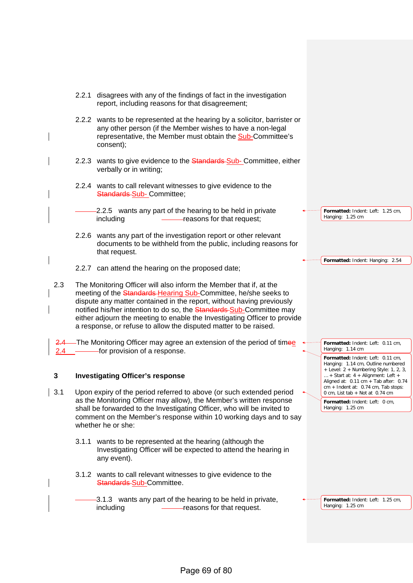|                                            | disagrees with any of the findings of fact in the investigation<br>2.2.1<br>report, including reasons for that disagreement;                                                                                                                                                                                                                                                                                                            |                                                                                                                                                                                                                         |
|--------------------------------------------|-----------------------------------------------------------------------------------------------------------------------------------------------------------------------------------------------------------------------------------------------------------------------------------------------------------------------------------------------------------------------------------------------------------------------------------------|-------------------------------------------------------------------------------------------------------------------------------------------------------------------------------------------------------------------------|
|                                            | 2.2.2 wants to be represented at the hearing by a solicitor, barrister or<br>any other person (if the Member wishes to have a non-legal<br>representative, the Member must obtain the <b>Sub-Committee's</b><br>consent);                                                                                                                                                                                                               |                                                                                                                                                                                                                         |
|                                            | 2.2.3 wants to give evidence to the <b>Standards-Sub-</b> Committee, either<br>verbally or in writing;                                                                                                                                                                                                                                                                                                                                  |                                                                                                                                                                                                                         |
|                                            | 2.2.4 wants to call relevant witnesses to give evidence to the<br>Standards-Sub- Committee;                                                                                                                                                                                                                                                                                                                                             |                                                                                                                                                                                                                         |
|                                            | 2.2.5 wants any part of the hearing to be held in private<br>reasons for that request;<br>including                                                                                                                                                                                                                                                                                                                                     | Formatted: Indent: Left: 1.25 cm,<br>Hanging: 1.25 cm                                                                                                                                                                   |
|                                            | 2.2.6 wants any part of the investigation report or other relevant<br>documents to be withheld from the public, including reasons for<br>that request.                                                                                                                                                                                                                                                                                  |                                                                                                                                                                                                                         |
|                                            | 2.2.7 can attend the hearing on the proposed date;                                                                                                                                                                                                                                                                                                                                                                                      | Formatted: Indent: Hanging: 2.54                                                                                                                                                                                        |
| 2.3                                        | The Monitoring Officer will also inform the Member that if, at the<br>meeting of the Standards Hearing Sub-Committee, he/she seeks to<br>dispute any matter contained in the report, without having previously<br>notified his/her intention to do so, the Standards-Sub-Committee may<br>either adjourn the meeting to enable the Investigating Officer to provide<br>a response, or refuse to allow the disputed matter to be raised. |                                                                                                                                                                                                                         |
|                                            | The Monitoring Officer may agree an extension of the period of timee<br>for provision of a response.                                                                                                                                                                                                                                                                                                                                    | Formatted: Indent: Left: 0.11 cm,<br>Hanging: 1.14 cm                                                                                                                                                                   |
| $\mathbf{3}$                               | <b>Investigating Officer's response</b>                                                                                                                                                                                                                                                                                                                                                                                                 | Formatted: Indent: Left: 0.11 cm,<br>Hanging: 1.14 cm, Outline numbered<br>$+$ Level: 2 + Numbering Style: 1, 2, 3,<br>$$ + Start at: 4 + Alignment: Left +<br>Aligned at: $0.11 \text{ cm} + \text{ Tab after: } 0.74$ |
| $\begin{array}{ c c }\n 3.1\n \end{array}$ | Upon expiry of the period referred to above (or such extended period<br>as the Monitoring Officer may allow), the Member's written response<br>shall be forwarded to the Investigating Officer, who will be invited to<br>comment on the Member's response within 10 working days and to say<br>whether he or she:                                                                                                                      | $cm +$ Indent at: 0.74 cm, Tab stops:<br>0 cm, List tab + Not at 0.74 cm<br><b>Formatted:</b> Indent: Left: 0 cm,<br>Hanging: 1.25 cm                                                                                   |
|                                            | 3.1.1<br>wants to be represented at the hearing (although the<br>Investigating Officer will be expected to attend the hearing in<br>any event).                                                                                                                                                                                                                                                                                         |                                                                                                                                                                                                                         |
|                                            | 3.1.2 wants to call relevant witnesses to give evidence to the<br>Standards-Sub-Committee.                                                                                                                                                                                                                                                                                                                                              |                                                                                                                                                                                                                         |
|                                            | 3.1.3 wants any part of the hearing to be held in private,<br>including<br>reasons for that request.                                                                                                                                                                                                                                                                                                                                    | Formatted: Indent: Left: 1.25 cm,<br>Hanging: 1.25 cm                                                                                                                                                                   |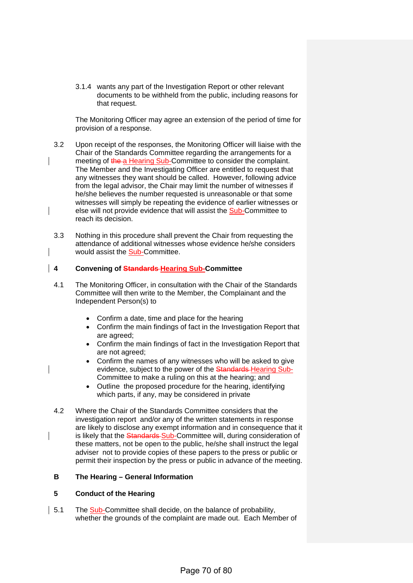3.1.4 wants any part of the Investigation Report or other relevant documents to be withheld from the public, including reasons for that request.

The Monitoring Officer may agree an extension of the period of time for provision of a response.

- 3.2 Upon receipt of the responses, the Monitoring Officer will liaise with the Chair of the Standards Committee regarding the arrangements for a meeting of the a Hearing Sub-Committee to consider the complaint. The Member and the Investigating Officer are entitled to request that any witnesses they want should be called. However, following advice from the legal advisor, the Chair may limit the number of witnesses if he/she believes the number requested is unreasonable or that some witnesses will simply be repeating the evidence of earlier witnesses or else will not provide evidence that will assist the Sub-Committee to reach its decision.
- 3.3 Nothing in this procedure shall prevent the Chair from requesting the attendance of additional witnesses whose evidence he/she considers would assist the Sub-Committee.

### **4 Convening of Standards Hearing Sub-Committee**

- 4.1 The Monitoring Officer, in consultation with the Chair of the Standards Committee will then write to the Member, the Complainant and the Independent Person(s) to
	- Confirm a date, time and place for the hearing
	- Confirm the main findings of fact in the Investigation Report that are agreed;
	- Confirm the main findings of fact in the Investigation Report that are not agreed;
	- Confirm the names of any witnesses who will be asked to give evidence, subject to the power of the Standards Hearing Sub-Committee to make a ruling on this at the hearing; and
	- Outline the proposed procedure for the hearing, identifying which parts, if any, may be considered in private
- 4.2 Where the Chair of the Standards Committee considers that the investigation report and/or any of the written statements in response are likely to disclose any exempt information and in consequence that it is likely that the Standards Sub-Committee will, during consideration of these matters, not be open to the public, he/she shall instruct the legal adviser not to provide copies of these papers to the press or public or permit their inspection by the press or public in advance of the meeting.

# **B The Hearing – General Information**

#### **5 Conduct of the Hearing**

5.1 The Sub-Committee shall decide, on the balance of probability, whether the grounds of the complaint are made out. Each Member of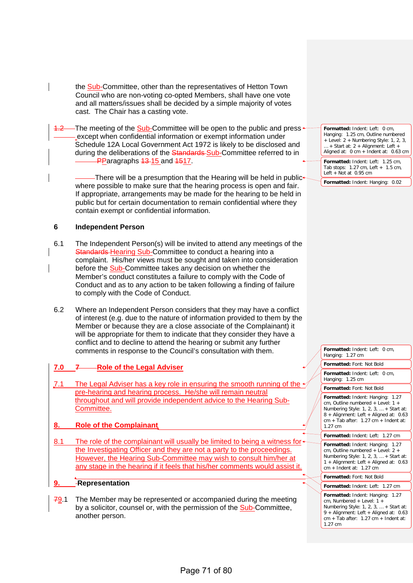the Sub-Committee, other than the representatives of Hetton Town Council who are non-voting co-opted Members, shall have one vote and all matters/issues shall be decided by a simple majority of votes cast. The Chair has a casting vote.

The meeting of the Sub-Committee will be open to the public and press of except when confidential information or exempt information under Schedule 12A Local Government Act 1972 is likely to be disclosed and during the deliberations of the Standards-Sub-Committee referred to in PParagraphs 13-15 and 1517

 There will be a presumption that the Hearing will be held in public where possible to make sure that the hearing process is open and fair. If appropriate, arrangements may be made for the hearing to be held in public but for certain documentation to remain confidential where they contain exempt or confidential information.

#### **6 Independent Person**

- 6.1 The Independent Person(s) will be invited to attend any meetings of the Standards-Hearing Sub-Committee to conduct a hearing into a complaint. His/her views must be sought and taken into consideration before the **Sub-Committee takes any decision on whether the** Member's conduct constitutes a failure to comply with the Code of Conduct and as to any action to be taken following a finding of failure to comply with the Code of Conduct.
- 6.2 Where an Independent Person considers that they may have a conflict of interest (e.g. due to the nature of information provided to them by the Member or because they are a close associate of the Complainant) it will be appropriate for them to indicate that they consider they have a conflict and to decline to attend the hearing or submit any further comments in response to the Council's consultation with them.

### **7.0 7 Role of the Legal Adviser**

7.1 The Legal Adviser has a key role in ensuring the smooth running of the pre-hearing and hearing process. He/she will remain neutral throughout and will provide independent advice to the Hearing Sub-Committee.

#### **8. Role of the Complainant**

8.1 The role of the complainant will usually be limited to being a witness for the Investigating Officer and they are not a party to the proceedings. However, the Hearing Sub-Committee may wish to consult him/her at any stage in the hearing if it feels that his/her comments would assist it.

#### **9. Representation**

79.1 The Member may be represented or accompanied during the meeting by a solicitor, counsel or, with the permission of the **Sub-Committee**, another person.

**Formatted:** Indent: Left: 0 cm, Hanging: 1.25 cm, Outline numbered + Level: 2 + Numbering Style: 1, 2, 3,  $. +$  Start at:  $2 +$  Alignment: Left  $+$ Aligned at: 0 cm + Indent at: 0.63 cm

**Formatted:** Indent: Left: 1.25 cm, Tab stops: 1.27 cm, Left + 1.5 cm, Left + Not at  $0.95$  cm

**Formatted:** Indent: Hanging: 0.02

|  | Formatted: Indent: Left: 0 cm,<br>Hanging: 1.27 cm                                                                                                                                                                  |  |  |  |
|--|---------------------------------------------------------------------------------------------------------------------------------------------------------------------------------------------------------------------|--|--|--|
|  | Formatted: Font: Not Bold                                                                                                                                                                                           |  |  |  |
|  | Formatted: Indent: Left: 0 cm,<br>Hanging: 1.25 cm                                                                                                                                                                  |  |  |  |
|  | Formatted: Font: Not Bold                                                                                                                                                                                           |  |  |  |
|  | Formatted: Indent: Hanging: 1.27<br>cm, Outline numbered + Level: 1 +<br>Numbering Style: 1, 2, 3,  + Start at:<br>8 + Alignment: Left + Aligned at: 0.63<br>$cm + Tab$ after: 1.27 $cm + Ind$ ent at:<br>1.27 cm   |  |  |  |
|  | Formatted: Indent: Left: 1.27 cm                                                                                                                                                                                    |  |  |  |
|  | Formatted: Indent: Hanging: 1.27<br>cm, Outline numbered + Level: 2 +<br>Numbering Style: 1, 2, 3,  + Start at:<br>1 + Alignment: Left + Aligned at: 0.63<br>$cm + Indent$ at: 1.27 cm<br>Formatted: Font: Not Bold |  |  |  |
|  |                                                                                                                                                                                                                     |  |  |  |
|  | Formatted: Indent: Left: 1.27 cm                                                                                                                                                                                    |  |  |  |
|  | Formatted: Indent: Hanging: 1.27                                                                                                                                                                                    |  |  |  |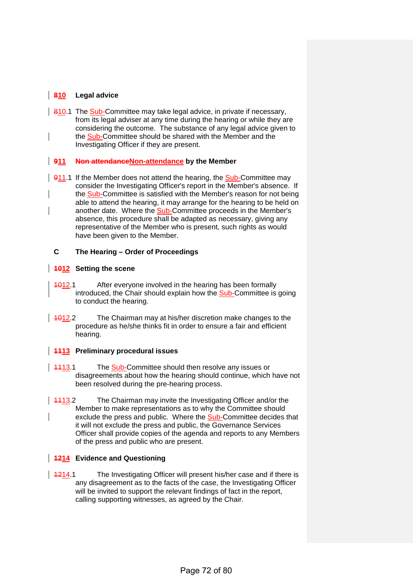#### **810 Legal advice**

810.1 The Sub-Committee may take legal advice, in private if necessary, from its legal adviser at any time during the hearing or while they are considering the outcome. The substance of any legal advice given to the Sub-Committee should be shared with the Member and the Investigating Officer if they are present.

#### **911 Non attendanceNon-attendance by the Member**

 $\frac{911.1}{ }$  If the Member does not attend the hearing, the Sub-Committee may consider the Investigating Officer's report in the Member's absence. If the Sub-Committee is satisfied with the Member's reason for not being able to attend the hearing, it may arrange for the hearing to be held on another date. Where the **Sub-Committee proceeds in the Member's** absence, this procedure shall be adapted as necessary, giving any representative of the Member who is present, such rights as would have been given to the Member.

#### **C The Hearing – Order of Proceedings**

#### **1012 Setting the scene**

- 1012.1 After everyone involved in the hearing has been formally introduced, the Chair should explain how the Sub-Committee is going to conduct the hearing.
- $\frac{14012.2}{1000}$  The Chairman may at his/her discretion make changes to the procedure as he/she thinks fit in order to ensure a fair and efficient hearing.

#### **1113 Preliminary procedural issues**

- 1413.1 The Sub-Committee should then resolve any issues or disagreements about how the hearing should continue, which have not been resolved during the pre-hearing process.
- $\frac{1113.2}{\pi}$  The Chairman may invite the Investigating Officer and/or the Member to make representations as to why the Committee should exclude the press and public. Where the Sub-Committee decides that it will not exclude the press and public, the Governance Services Officer shall provide copies of the agenda and reports to any Members of the press and public who are present.

#### **1214 Evidence and Questioning**

1214.1 The Investigating Officer will present his/her case and if there is any disagreement as to the facts of the case, the Investigating Officer will be invited to support the relevant findings of fact in the report, calling supporting witnesses, as agreed by the Chair.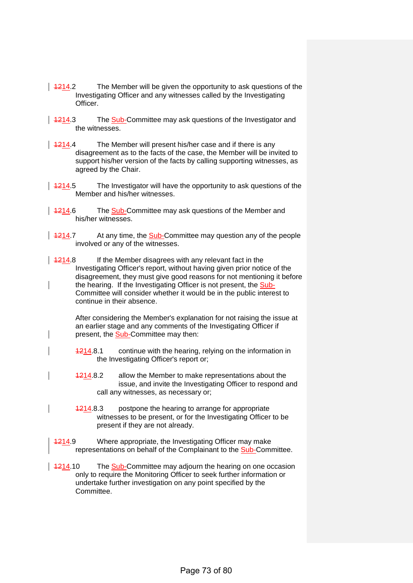- $\frac{1214.2}{ }$  The Member will be given the opportunity to ask questions of the Investigating Officer and any witnesses called by the Investigating Officer.
- $\frac{1214.3}{ }$  The Sub-Committee may ask questions of the Investigator and the witnesses.
- $\frac{1214.4}{ }$  The Member will present his/her case and if there is any disagreement as to the facts of the case, the Member will be invited to support his/her version of the facts by calling supporting witnesses, as agreed by the Chair.
- $\frac{1214.5}{\sqrt{1214}}$  The Investigator will have the opportunity to ask questions of the Member and his/her witnesses.
- 1214.6 The Sub-Committee may ask questions of the Member and his/her witnesses.
- $\frac{1214.7}{ }$  At any time, the Sub-Committee may question any of the people involved or any of the witnesses.
- $\frac{1214.8}{ }$  If the Member disagrees with any relevant fact in the Investigating Officer's report, without having given prior notice of the disagreement, they must give good reasons for not mentioning it before the hearing. If the Investigating Officer is not present, the Sub-Committee will consider whether it would be in the public interest to continue in their absence.

After considering the Member's explanation for not raising the issue at an earlier stage and any comments of the Investigating Officer if present, the Sub-Committee may then:

- **1214.8.1** continue with the hearing, relying on the information in the Investigating Officer's report or;
- 4214.8.2 allow the Member to make representations about the issue, and invite the Investigating Officer to respond and call any witnesses, as necessary or;
- 4214.8.3 postpone the hearing to arrange for appropriate witnesses to be present, or for the Investigating Officer to be present if they are not already.
- 1214.9 Where appropriate, the Investigating Officer may make representations on behalf of the Complainant to the Sub-Committee.
- $1214.10$  The Sub-Committee may adjourn the hearing on one occasion only to require the Monitoring Officer to seek further information or undertake further investigation on any point specified by the Committee.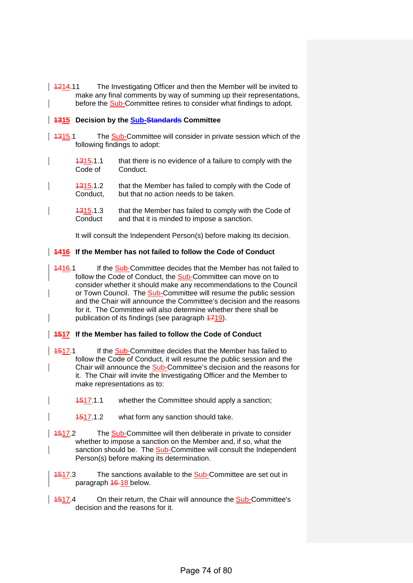$\frac{1214.11}{122.11}$  The Investigating Officer and then the Member will be invited to make any final comments by way of summing up their representations, before the Sub-Committee retires to consider what findings to adopt.

#### **1315 Decision by the Sub-Standards Committee**

- 1315.1 The Sub-Committee will consider in private session which of the following findings to adopt:
	- **1315.1.1** that there is no evidence of a failure to comply with the Code of Conduct.
	- 4315.1.2 that the Member has failed to comply with the Code of Conduct, but that no action needs to be taken.
	- 1315.1.3 that the Member has failed to comply with the Code of Conduct and that it is minded to impose a sanction.

It will consult the Independent Person(s) before making its decision.

#### **1416 If the Member has not failed to follow the Code of Conduct**

1416.1 If the Sub-Committee decides that the Member has not failed to follow the Code of Conduct, the Sub-Committee can move on to consider whether it should make any recommendations to the Council or Town Council. The Sub-Committee will resume the public session and the Chair will announce the Committee's decision and the reasons for it. The Committee will also determine whether there shall be publication of its findings (see paragraph 1719).

#### **1517 If the Member has failed to follow the Code of Conduct**

- 1517.1 If the Sub-Committee decides that the Member has failed to follow the Code of Conduct, it will resume the public session and the Chair will announce the Sub-Committee's decision and the reasons for it. The Chair will invite the Investigating Officer and the Member to make representations as to:
	- 1517.1.1 whether the Committee should apply a sanction;
	- **1517.1.2** what form any sanction should take.
- **1517.2** The Sub-Committee will then deliberate in private to consider whether to impose a sanction on the Member and, if so, what the sanction should be. The Sub-Committee will consult the Independent Person(s) before making its determination.
- 1517.3 The sanctions available to the Sub-Committee are set out in paragraph 46-18 below.
- **1517.4** On their return, the Chair will announce the **Sub-Committee's** decision and the reasons for it.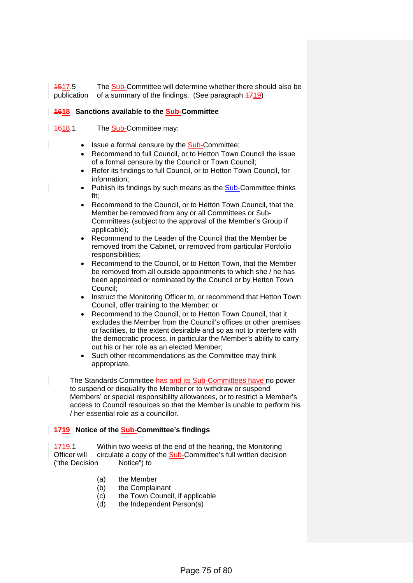1517.5 The Sub-Committee will determine whether there should also be publication of a summary of the findings. (See paragraph 4719)

#### **1618 Sanctions available to the Sub-Committee**

**1618.1** The Sub-Committee may:

- Issue a formal censure by the Sub-Committee;
- Recommend to full Council, or to Hetton Town Council the issue of a formal censure by the Council or Town Council;
- Refer its findings to full Council, or to Hetton Town Council, for information;
- Publish its findings by such means as the Sub-Committee thinks fit;
- Recommend to the Council, or to Hetton Town Council, that the Member be removed from any or all Committees or Sub-Committees (subject to the approval of the Member's Group if applicable);
- Recommend to the Leader of the Council that the Member be removed from the Cabinet, or removed from particular Portfolio responsibilities;
- Recommend to the Council, or to Hetton Town, that the Member be removed from all outside appointments to which she / he has been appointed or nominated by the Council or by Hetton Town Council;
- Instruct the Monitoring Officer to, or recommend that Hetton Town Council, offer training to the Member; or
- Recommend to the Council, or to Hetton Town Council, that it excludes the Member from the Council's offices or other premises or facilities, to the extent desirable and so as not to interfere with the democratic process, in particular the Member's ability to carry out his or her role as an elected Member;
- Such other recommendations as the Committee may think appropriate.

The Standards Committee has and its Sub-Committees have no power to suspend or disqualify the Member or to withdraw or suspend Members' or special responsibility allowances, or to restrict a Member's access to Council resources so that the Member is unable to perform his / her essential role as a councillor.

#### **1719 Notice of the Sub-Committee's findings**

1719.1 Within two weeks of the end of the hearing, the Monitoring Officer will circulate a copy of the **Sub-Committee's full written decision** ("the Decision Notice") to

- (a) the Member
- (b) the Complainant
- (c) the Town Council, if applicable
- (d) the Independent Person(s)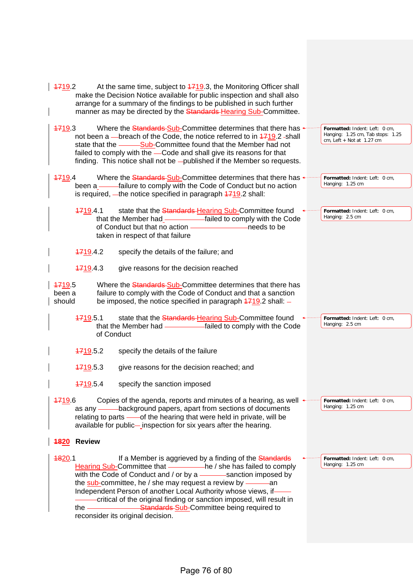| 17192<br>At the same time, subject to 4719.3, the Monitoring Officer shall<br>make the Decision Notice available for public inspection and shall also<br>arrange for a summary of the findings to be published in such further<br>manner as may be directed by the Standards-Hearing Sub-Committee.                                                                                                                                                                                                                                                       |                                                                                                    |
|-----------------------------------------------------------------------------------------------------------------------------------------------------------------------------------------------------------------------------------------------------------------------------------------------------------------------------------------------------------------------------------------------------------------------------------------------------------------------------------------------------------------------------------------------------------|----------------------------------------------------------------------------------------------------|
| Where the Standards-Sub-Committee determines that there has $\rightarrow$<br><del>17</del> 19.3<br>not been a - breach of the Code, the notice referred to in 4719.2 - shall<br>state that the - Sub-Committee found that the Member had not<br>failed to comply with the -- Code and shall give its reasons for that<br>finding. This notice shall not be -published if the Member so requests.                                                                                                                                                          | Formatted: Indent: Left: 0 cm,<br>Hanging: 1.25 cm, Tab stops: 1.25<br>cm, Left + Not at $1.27$ cm |
| Where the <b>Standards-Sub-Committee determines that there has +</b><br><u>4719</u> .4<br>been a <sub>_</sub> ______-failure to comply with the Code of Conduct but no action<br>is required, —the notice specified in paragraph 4719.2 shall:                                                                                                                                                                                                                                                                                                            | Formatted: Indent: Left: 0 cm,<br>Hanging: 1.25 cm                                                 |
| state that the Standards-Hearing Sub-Committee found<br>4719.4.1<br>of Conduct but that no action -<br>-needs to be<br>taken in respect of that failure                                                                                                                                                                                                                                                                                                                                                                                                   | Formatted: Indent: Left: 0 cm,<br>Hanging: 2.5 cm                                                  |
| 4719.4.2<br>specify the details of the failure; and                                                                                                                                                                                                                                                                                                                                                                                                                                                                                                       |                                                                                                    |
| 471943<br>give reasons for the decision reached                                                                                                                                                                                                                                                                                                                                                                                                                                                                                                           |                                                                                                    |
| Where the <b>Standards-Sub-Committee determines that there has</b><br> 4719.5<br>failure to comply with the Code of Conduct and that a sanction<br>been a<br>should<br>be imposed, the notice specified in paragraph $1719.2$ shall: -                                                                                                                                                                                                                                                                                                                    |                                                                                                    |
| state that the Standards-Hearing Sub-Committee found<br><b>4719.5.1</b><br>that the Member had - failed to comply with the Code<br>of Conduct                                                                                                                                                                                                                                                                                                                                                                                                             | Formatted: Indent: Left: 0 cm,<br>Hanging: 2.5 cm                                                  |
| specify the details of the failure<br>4719.5.2                                                                                                                                                                                                                                                                                                                                                                                                                                                                                                            |                                                                                                    |
| give reasons for the decision reached; and<br>4719.5.3                                                                                                                                                                                                                                                                                                                                                                                                                                                                                                    |                                                                                                    |
| specify the sanction imposed<br><b>4719.5.4</b>                                                                                                                                                                                                                                                                                                                                                                                                                                                                                                           |                                                                                                    |
| 4719.6<br>Copies of the agenda, reports and minutes of a hearing, as well $\triangleleft$<br>as any --------background papers, apart from sections of documents<br>relating to parts - of the hearing that were held in private, will be<br>available for public-inspection for six years after the hearing.                                                                                                                                                                                                                                              | Formatted: Indent: Left: 0 cm,<br>Hanging: 1.25 cm                                                 |
| <b>Review</b><br>4820                                                                                                                                                                                                                                                                                                                                                                                                                                                                                                                                     |                                                                                                    |
| <b>1820 1</b><br>If a Member is aggrieved by a finding of the Standards<br>Hearing Sub-Committee that ——————————————he / she has failed to comply<br>with the Code of Conduct and / or by a ————sanction imposed by<br>the $sub$ -committee, he / she may request a review by $\frac{1}{1}$ an<br>Independent Person of another Local Authority whose views, if-<br>- critical of the original finding or sanction imposed, will result in<br><b>Example 2018</b> Standards Sub-Committee being required to<br>the -<br>reconsider its original decision. | Formatted: Indent: Left: 0 cm.<br>Hanging: 1.25 cm                                                 |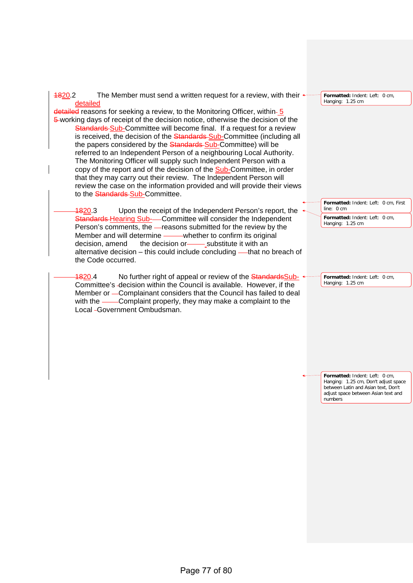$1820.2$  The Member must send a written request for a review, with their detailed detailed reasons for seeking a review, to the Monitoring Officer, within-5 5 working days of receipt of the decision notice, otherwise the decision of the Standards Sub-Committee will become final. If a request for a review is received, the decision of the Standards Sub-Committee (including all the papers considered by the **Standards-Sub-Committee**) will be referred to an Independent Person of a neighbouring Local Authority. The Monitoring Officer will supply such Independent Person with a copy of the report and of the decision of the Sub-Committee, in order that they may carry out their review. The Independent Person will review the case on the information provided and will provide their views to the **Standards** Sub-Committee. **1820.3** Upon the receipt of the Independent Person's report, the Standards Hearing Sub-<br>
Committee will consider the Independent Person's comments, the -- reasons submitted for the review by the Member and will determine - whether to confirm its original decision, amend the decision or substitute it with an alternative decision – this could include concluding - that no breach of the Code occurred. 1820.4 No further right of appeal or review of the StandardsSub-Committee's decision within the Council is available. However, if the Member or -Complainant considers that the Council has failed to deal with the ——Complaint properly, they may make a complaint to the Local Government Ombudsman. **Formatted:** Indent: Left: 0 cm, Hanging: 1.25 cm **Formatted:** Indent: Left: 0 cm, First line: 0 cm **Formatted:** Indent: Left: 0 cm, Hanging: 1.25 cm **Formatted:** Indent: Left: 0 cm, Hanging: 1.25 cm **Formatted:** Indent: Left: 0 cm, Hanging: 1.25 cm, Don't adjust space between Latin and Asian text, Don't adjust space between Asian text and numbers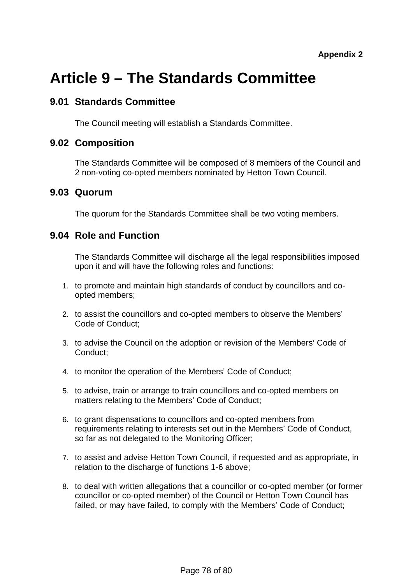# **Article 9 – The Standards Committee**

## **9.01 Standards Committee**

The Council meeting will establish a Standards Committee.

## **9.02 Composition**

The Standards Committee will be composed of 8 members of the Council and 2 non-voting co-opted members nominated by Hetton Town Council.

## **9.03 Quorum**

The quorum for the Standards Committee shall be two voting members.

## **9.04 Role and Function**

The Standards Committee will discharge all the legal responsibilities imposed upon it and will have the following roles and functions:

- 1. to promote and maintain high standards of conduct by councillors and coopted members;
- 2. to assist the councillors and co-opted members to observe the Members' Code of Conduct;
- 3. to advise the Council on the adoption or revision of the Members' Code of Conduct;
- 4. to monitor the operation of the Members' Code of Conduct;
- 5. to advise, train or arrange to train councillors and co-opted members on matters relating to the Members' Code of Conduct;
- 6. to grant dispensations to councillors and co-opted members from requirements relating to interests set out in the Members' Code of Conduct, so far as not delegated to the Monitoring Officer;
- 7. to assist and advise Hetton Town Council, if requested and as appropriate, in relation to the discharge of functions 1-6 above:
- 8. to deal with written allegations that a councillor or co-opted member (or former councillor or co-opted member) of the Council or Hetton Town Council has failed, or may have failed, to comply with the Members' Code of Conduct;